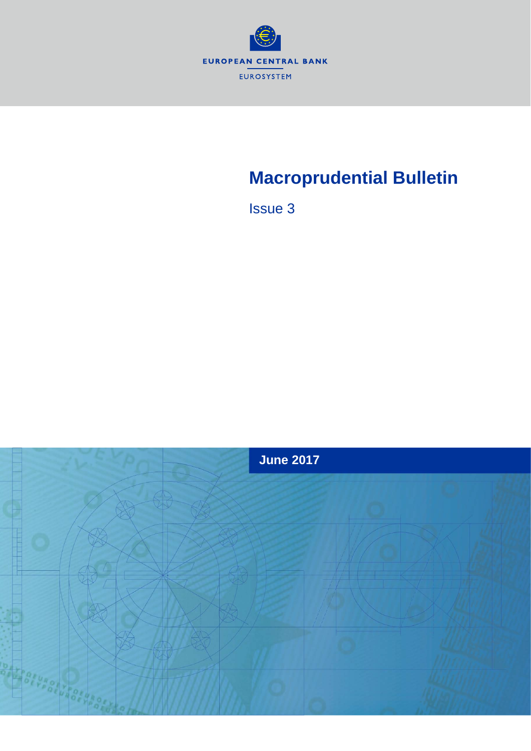

# **Macroprudential Bulletin**

Issue 3

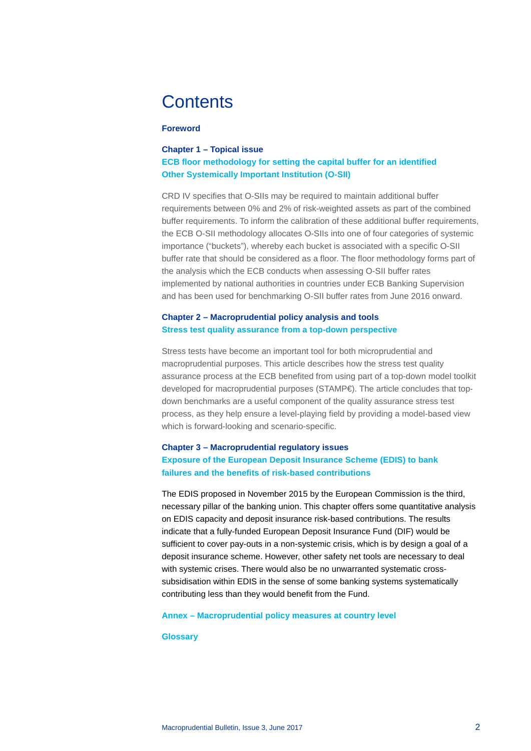# **Contents**

## **Foreword**

# **Chapter 1 – Topical issue [ECB floor methodology for setting the capital buffer for an identified](#page-3-0)  [Other Systemically Important Institution \(O-SII\)](#page-3-0)**

CRD IV specifies that O-SIIs may be required to maintain additional buffer requirements between 0% and 2% of risk-weighted assets as part of the combined buffer requirements. To inform the calibration of these additional buffer requirements, the ECB O-SII methodology allocates O-SIIs into one of four categories of systemic importance ("buckets"), whereby each bucket is associated with a specific O-SII buffer rate that should be considered as a floor. The floor methodology forms part of the analysis which the ECB conducts when assessing O-SII buffer rates implemented by national authorities in countries under ECB Banking Supervision and has been used for benchmarking O-SII buffer rates from June 2016 onward.

# **Chapter 2 – Macroprudential policy analysis and tools [Stress test quality assurance from a top-down perspective](#page-11-0)**

Stress tests have become an important tool for both microprudential and macroprudential purposes. This article describes how the stress test quality assurance process at the ECB benefited from using part of a top-down model toolkit developed for macroprudential purposes (STAMP€). The article concludes that topdown benchmarks are a useful component of the quality assurance stress test process, as they help ensure a level-playing field by providing a model-based view which is forward-looking and scenario-specific.

## **Chapter 3 – Macroprudential regulatory issues**

# **Exposure of the European Deposit Insurance Scheme (EDIS) to bank failures and the benefits of risk-based contributions**

The EDIS proposed in November 2015 by the European Commission is the third, necessary pillar of the banking union. This chapter offers some quantitative analysis on EDIS capacity and deposit insurance risk-based contributions. The results indicate that a fully-funded European Deposit Insurance Fund (DIF) would be sufficient to cover pay-outs in a non-systemic crisis, which is by design a goal of a deposit insurance scheme. However, other safety net tools are necessary to deal with systemic crises. There would also be no unwarranted systematic crosssubsidisation within EDIS in the sense of some banking systems systematically contributing less than they would benefit from the Fund.

### **Annex – [Macroprudential policy measures at country level](#page-33-0)**

### **[Glossary](#page-38-0)**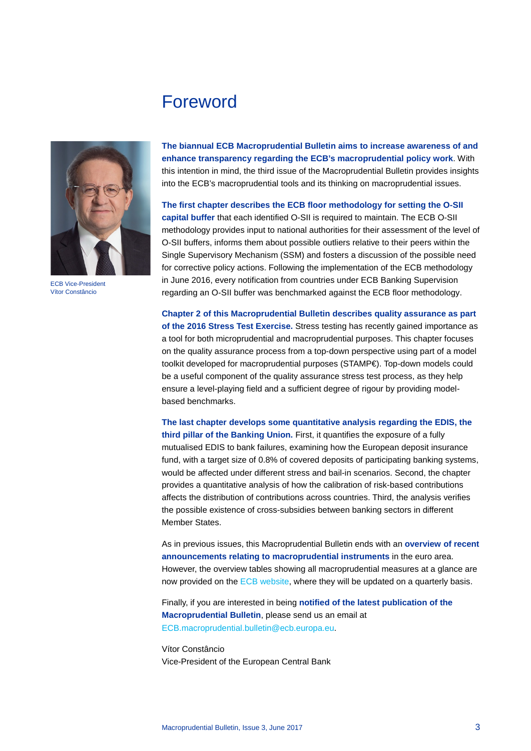# Foreword



ECB Vice-President Vítor Constâncio

**The biannual ECB Macroprudential Bulletin aims to increase awareness of and enhance transparency regarding the ECB's macroprudential policy work**. With this intention in mind, the third issue of the Macroprudential Bulletin provides insights into the ECB's macroprudential tools and its thinking on macroprudential issues.

**The first chapter describes the ECB floor methodology for setting the O-SII capital buffer** that each identified O-SII is required to maintain. The ECB O-SII methodology provides input to national authorities for their assessment of the level of O-SII buffers, informs them about possible outliers relative to their peers within the Single Supervisory Mechanism (SSM) and fosters a discussion of the possible need for corrective policy actions. Following the implementation of the ECB methodology in June 2016, every notification from countries under ECB Banking Supervision regarding an O-SII buffer was benchmarked against the ECB floor methodology.

**Chapter 2 of this Macroprudential Bulletin describes quality assurance as part of the 2016 Stress Test Exercise.** Stress testing has recently gained importance as a tool for both microprudential and macroprudential purposes. This chapter focuses on the quality assurance process from a top-down perspective using part of a model toolkit developed for macroprudential purposes (STAMP€). Top-down models could be a useful component of the quality assurance stress test process, as they help ensure a level-playing field and a sufficient degree of rigour by providing modelbased benchmarks.

**The last chapter develops some quantitative analysis regarding the EDIS, the third pillar of the Banking Union.** First, it quantifies the exposure of a fully mutualised EDIS to bank failures, examining how the European deposit insurance fund, with a target size of 0.8% of covered deposits of participating banking systems, would be affected under different stress and bail-in scenarios. Second, the chapter provides a quantitative analysis of how the calibration of risk-based contributions affects the distribution of contributions across countries. Third, the analysis verifies the possible existence of cross-subsidies between banking sectors in different Member States.

As in previous issues, this Macroprudential Bulletin ends with an **overview of recent announcements relating to macroprudential instruments** in the euro area. However, the overview tables showing all macroprudential measures at a glance are now provided on the [ECB website,](https://www.ecb.europa.eu/pub/fsr/html/measures.en.html) where they will be updated on a quarterly basis.

Finally, if you are interested in being **notified of the latest publication of the Macroprudential Bulletin**, please send us an email at [ECB.macroprudential.bulletin@ecb.europa.eu.](mailto:ECB.macroprudential.bulletin@ecb.europa.eu)

Vítor Constâncio Vice-President of the European Central Bank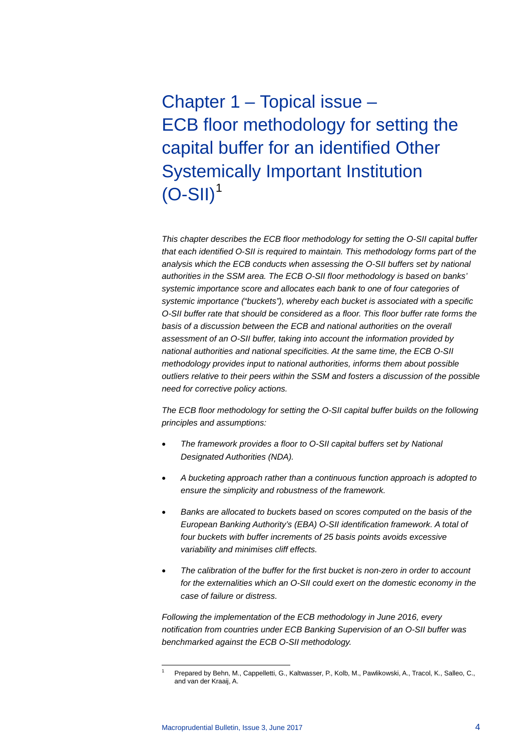<span id="page-3-0"></span>Chapter 1 – Topical issue – ECB floor methodology for setting the capital buffer for an identified Other Systemically Important Institution  $(O-SII)^1$  $(O-SII)^1$ 

*This chapter describes the ECB floor methodology for setting the O-SII capital buffer that each identified O-SII is required to maintain. This methodology forms part of the analysis which the ECB conducts when assessing the O-SII buffers set by national authorities in the SSM area. The ECB O-SII floor methodology is based on banks' systemic importance score and allocates each bank to one of four categories of systemic importance ("buckets"), whereby each bucket is associated with a specific O-SII buffer rate that should be considered as a floor. This floor buffer rate forms the*  basis of a discussion between the ECB and national authorities on the overall *assessment of an O-SII buffer, taking into account the information provided by national authorities and national specificities. At the same time, the ECB O-SII methodology provides input to national authorities, informs them about possible outliers relative to their peers within the SSM and fosters a discussion of the possible need for corrective policy actions.* 

*The ECB floor methodology for setting the O-SII capital buffer builds on the following principles and assumptions:*

- *The framework provides a floor to O-SII capital buffers set by National Designated Authorities (NDA).*
- *A bucketing approach rather than a continuous function approach is adopted to ensure the simplicity and robustness of the framework.*
- *Banks are allocated to buckets based on scores computed on the basis of the European Banking Authority's (EBA) O-SII identification framework. A total of four buckets with buffer increments of 25 basis points avoids excessive variability and minimises cliff effects.*
- *The calibration of the buffer for the first bucket is non-zero in order to account for the externalities which an O-SII could exert on the domestic economy in the case of failure or distress.*

*Following the implementation of the ECB methodology in June 2016, every notification from countries under ECB Banking Supervision of an O-SII buffer was benchmarked against the ECB O-SII methodology.* 

<span id="page-3-1"></span> <sup>1</sup> Prepared by Behn, M., Cappelletti, G., Kaltwasser, P., Kolb, M., Pawlikowski, A., Tracol, K., Salleo, C., and van der Kraaij, A.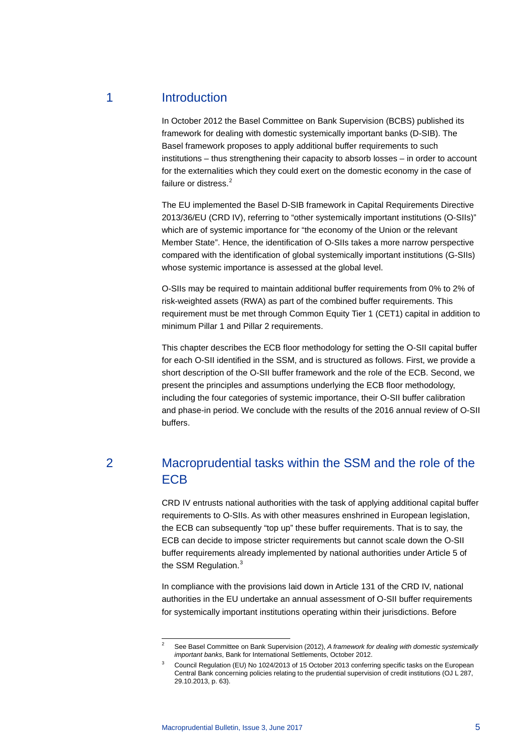# 1 Introduction

In October 2012 the Basel Committee on Bank Supervision (BCBS) published its framework for dealing with domestic systemically important banks (D-SIB). The Basel framework proposes to apply additional buffer requirements to such institutions – thus strengthening their capacity to absorb losses – in order to account for the externalities which they could exert on the domestic economy in the case of failure or distress.<sup>[2](#page-4-0)</sup>

The EU implemented the Basel D-SIB framework in Capital Requirements Directive 2013/36/EU (CRD IV), referring to "other systemically important institutions (O-SIIs)" which are of systemic importance for "the economy of the Union or the relevant Member State". Hence, the identification of O-SIIs takes a more narrow perspective compared with the identification of global systemically important institutions (G-SIIs) whose systemic importance is assessed at the global level.

O-SIIs may be required to maintain additional buffer requirements from 0% to 2% of risk-weighted assets (RWA) as part of the combined buffer requirements. This requirement must be met through Common Equity Tier 1 (CET1) capital in addition to minimum Pillar 1 and Pillar 2 requirements.

This chapter describes the ECB floor methodology for setting the O-SII capital buffer for each O-SII identified in the SSM, and is structured as follows. First, we provide a short description of the O-SII buffer framework and the role of the ECB. Second, we present the principles and assumptions underlying the ECB floor methodology, including the four categories of systemic importance, their O-SII buffer calibration and phase-in period. We conclude with the results of the 2016 annual review of O-SII buffers.

# 2 Macroprudential tasks within the SSM and the role of the **ECB**

CRD IV entrusts national authorities with the task of applying additional capital buffer requirements to O-SIIs. As with other measures enshrined in European legislation, the ECB can subsequently "top up" these buffer requirements. That is to say, the ECB can decide to impose stricter requirements but cannot scale down the O-SII buffer requirements already implemented by national authorities under Article 5 of the SSM Regulation.<sup>[3](#page-4-1)</sup>

In compliance with the provisions laid down in Article 131 of the CRD IV, national authorities in the EU undertake an annual assessment of O-SII buffer requirements for systemically important institutions operating within their jurisdictions. Before

<span id="page-4-0"></span> <sup>2</sup> See Basel Committee on Bank Supervision (2012), *A framework for dealing with domestic systemically important banks*, Bank for International Settlements, October 2012.

<span id="page-4-1"></span>Council Regulation (EU) No 1024/2013 of 15 October 2013 conferring specific tasks on the European Central Bank concerning policies relating to the prudential supervision of credit institutions (OJ L 287, 29.10.2013, p. 63).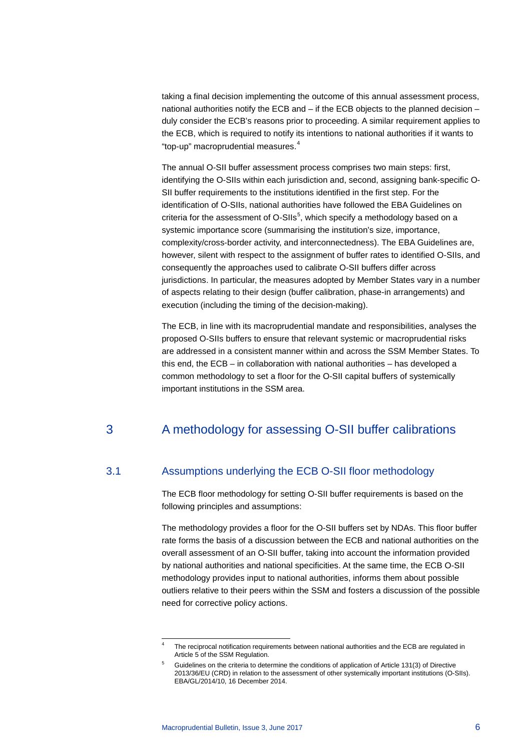taking a final decision implementing the outcome of this annual assessment process, national authorities notify the ECB and – if the ECB objects to the planned decision – duly consider the ECB's reasons prior to proceeding. A similar requirement applies to the ECB, which is required to notify its intentions to national authorities if it wants to "top-up" macroprudential measures.[4](#page-5-0)

The annual O-SII buffer assessment process comprises two main steps: first, identifying the O-SIIs within each jurisdiction and, second, assigning bank-specific O-SII buffer requirements to the institutions identified in the first step. For the identification of O-SIIs, national authorities have followed the EBA Guidelines on criteria for the assessment of O-SIIs<sup>[5](#page-5-1)</sup>, which specify a methodology based on a systemic importance score (summarising the institution's size, importance, complexity/cross-border activity, and interconnectedness). The EBA Guidelines are, however, silent with respect to the assignment of buffer rates to identified O-SIIs, and consequently the approaches used to calibrate O-SII buffers differ across jurisdictions. In particular, the measures adopted by Member States vary in a number of aspects relating to their design (buffer calibration, phase-in arrangements) and execution (including the timing of the decision-making).

The ECB, in line with its macroprudential mandate and responsibilities, analyses the proposed O-SIIs buffers to ensure that relevant systemic or macroprudential risks are addressed in a consistent manner within and across the SSM Member States. To this end, the ECB – in collaboration with national authorities – has developed a common methodology to set a floor for the O-SII capital buffers of systemically important institutions in the SSM area.

# 3 A methodology for assessing O-SII buffer calibrations

# 3.1 Assumptions underlying the ECB O-SII floor methodology

The ECB floor methodology for setting O-SII buffer requirements is based on the following principles and assumptions:

The methodology provides a floor for the O-SII buffers set by NDAs. This floor buffer rate forms the basis of a discussion between the ECB and national authorities on the overall assessment of an O-SII buffer, taking into account the information provided by national authorities and national specificities. At the same time, the ECB O-SII methodology provides input to national authorities, informs them about possible outliers relative to their peers within the SSM and fosters a discussion of the possible need for corrective policy actions.

The reciprocal notification requirements between national authorities and the ECB are regulated in Article 5 of the SSM Regulation.

<span id="page-5-1"></span><span id="page-5-0"></span><sup>5</sup> Guidelines on the criteria to determine the conditions of application of Article 131(3) of Directive 2013/36/EU (CRD) in relation to the assessment of other systemically important institutions (O-SIIs). EBA/GL/2014/10, 16 December 2014.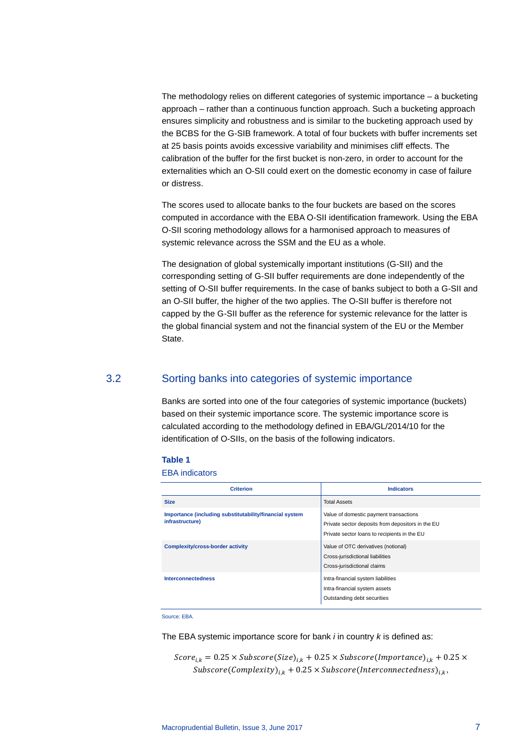The methodology relies on different categories of systemic importance – a bucketing approach – rather than a continuous function approach. Such a bucketing approach ensures simplicity and robustness and is similar to the bucketing approach used by the BCBS for the G-SIB framework. A total of four buckets with buffer increments set at 25 basis points avoids excessive variability and minimises cliff effects. The calibration of the buffer for the first bucket is non-zero, in order to account for the externalities which an O-SII could exert on the domestic economy in case of failure or distress.

The scores used to allocate banks to the four buckets are based on the scores computed in accordance with the EBA O-SII identification framework. Using the EBA O-SII scoring methodology allows for a harmonised approach to measures of systemic relevance across the SSM and the EU as a whole.

The designation of global systemically important institutions (G-SII) and the corresponding setting of G-SII buffer requirements are done independently of the setting of O-SII buffer requirements. In the case of banks subject to both a G-SII and an O-SII buffer, the higher of the two applies. The O-SII buffer is therefore not capped by the G-SII buffer as the reference for systemic relevance for the latter is the global financial system and not the financial system of the EU or the Member State.

# 3.2 Sorting banks into categories of systemic importance

Banks are sorted into one of the four categories of systemic importance (buckets) based on their systemic importance score. The systemic importance score is calculated according to the methodology defined in EBA/GL/2014/10 for the identification of O-SIIs, on the basis of the following indicators.

### **Table 1**

EBA indicators

| <b>Criterion</b>                                                           | <b>Indicators</b>                                                                                                                           |
|----------------------------------------------------------------------------|---------------------------------------------------------------------------------------------------------------------------------------------|
| <b>Size</b>                                                                | <b>Total Assets</b>                                                                                                                         |
| Importance (including substitutability/financial system<br>infrastructure) | Value of domestic payment transactions<br>Private sector deposits from depositors in the EU<br>Private sector loans to recipients in the EU |
| <b>Complexity/cross-border activity</b>                                    | Value of OTC derivatives (notional)<br>Cross-jurisdictional liabilities<br>Cross-jurisdictional claims                                      |
| <b>Interconnectedness</b>                                                  | Intra-financial system liabilities<br>Intra-financial system assets<br>Outstanding debt securities                                          |

Source: EBA.

The EBA systemic importance score for bank *i* in country *k* is defined as:

 $Score_{i,k} = 0.25 \times Subscore(Size)_{i,k} + 0.25 \times Subscore(Importance)_{i,k} + 0.25 \times$  $Subscore(Complexity)_{i,k} + 0.25 \times Subscore(Interconnectedness)_{i,k},$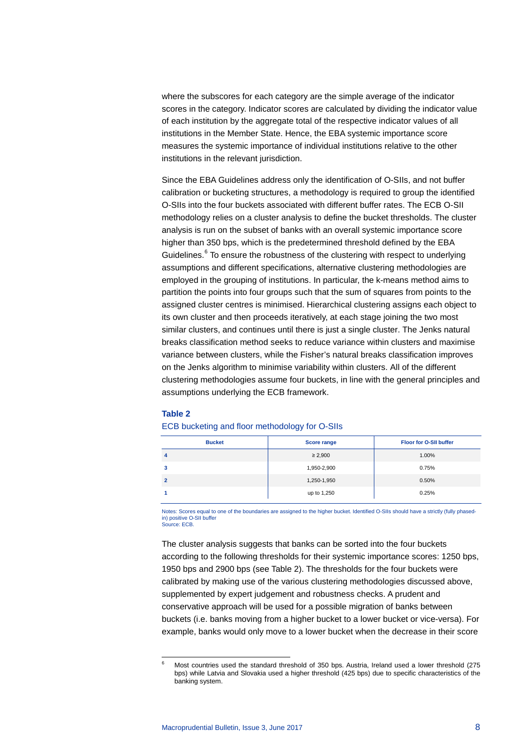where the subscores for each category are the simple average of the indicator scores in the category. Indicator scores are calculated by dividing the indicator value of each institution by the aggregate total of the respective indicator values of all institutions in the Member State. Hence, the EBA systemic importance score measures the systemic importance of individual institutions relative to the other institutions in the relevant jurisdiction.

Since the EBA Guidelines address only the identification of O-SIIs, and not buffer calibration or bucketing structures, a methodology is required to group the identified O-SIIs into the four buckets associated with different buffer rates. The ECB O-SII methodology relies on a cluster analysis to define the bucket thresholds. The cluster analysis is run on the subset of banks with an overall systemic importance score higher than 350 bps, which is the predetermined threshold defined by the EBA Guidelines.<sup>[6](#page-7-0)</sup> To ensure the robustness of the clustering with respect to underlying assumptions and different specifications, alternative clustering methodologies are employed in the grouping of institutions. In particular, the k-means method aims to partition the points into four groups such that the sum of squares from points to the assigned cluster centres is minimised. Hierarchical clustering assigns each object to its own cluster and then proceeds iteratively, at each stage joining the two most similar clusters, and continues until there is just a single cluster. The Jenks natural breaks classification method seeks to reduce variance within clusters and maximise variance between clusters, while the Fisher's natural breaks classification improves on the Jenks algorithm to minimise variability within clusters. All of the different clustering methodologies assume four buckets, in line with the general principles and assumptions underlying the ECB framework.

### **Table 2**

| <b>Bucket</b> | <b>Score range</b> | <b>Floor for O-SII buffer</b> |
|---------------|--------------------|-------------------------------|
| 4             | $\geq 2,900$       | 1.00%                         |
| 3             | 1,950-2,900        | 0.75%                         |
|               | 1,250-1,950        | 0.50%                         |
|               | up to 1,250        | 0.25%                         |

## ECB bucketing and floor methodology for O-SIIs

Notes: Scores equal to one of the boundaries are assigned to the higher bucket. Identified O-SIIs should have a strictly (fully phasedin) positive O-SII buffe Source: ECB.

The cluster analysis suggests that banks can be sorted into the four buckets according to the following thresholds for their systemic importance scores: 1250 bps, 1950 bps and 2900 bps (see Table 2). The thresholds for the four buckets were calibrated by making use of the various clustering methodologies discussed above, supplemented by expert judgement and robustness checks. A prudent and conservative approach will be used for a possible migration of banks between buckets (i.e. banks moving from a higher bucket to a lower bucket or vice-versa). For example, banks would only move to a lower bucket when the decrease in their score

<span id="page-7-0"></span> <sup>6</sup> Most countries used the standard threshold of 350 bps. Austria, Ireland used a lower threshold (275 bps) while Latvia and Slovakia used a higher threshold (425 bps) due to specific characteristics of the banking system.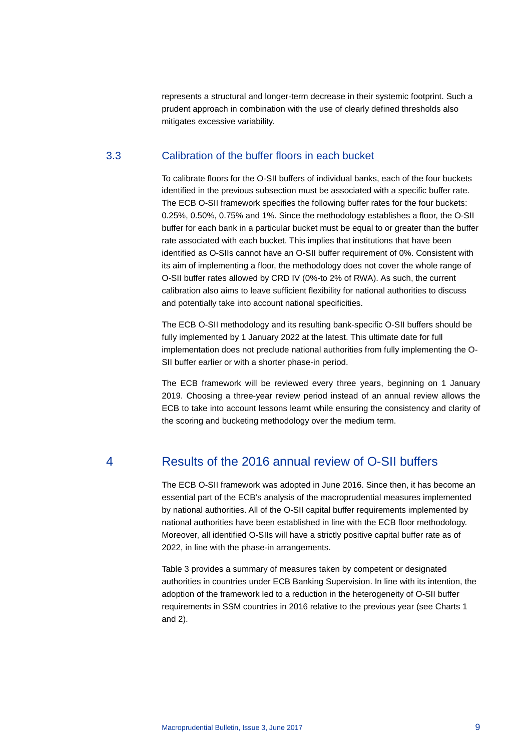represents a structural and longer-term decrease in their systemic footprint. Such a prudent approach in combination with the use of clearly defined thresholds also mitigates excessive variability.

# 3.3 Calibration of the buffer floors in each bucket

To calibrate floors for the O-SII buffers of individual banks, each of the four buckets identified in the previous subsection must be associated with a specific buffer rate. The ECB O-SII framework specifies the following buffer rates for the four buckets: 0.25%, 0.50%, 0.75% and 1%. Since the methodology establishes a floor, the O-SII buffer for each bank in a particular bucket must be equal to or greater than the buffer rate associated with each bucket. This implies that institutions that have been identified as O-SIIs cannot have an O-SII buffer requirement of 0%. Consistent with its aim of implementing a floor, the methodology does not cover the whole range of O-SII buffer rates allowed by CRD IV (0%-to 2% of RWA). As such, the current calibration also aims to leave sufficient flexibility for national authorities to discuss and potentially take into account national specificities.

The ECB O-SII methodology and its resulting bank-specific O-SII buffers should be fully implemented by 1 January 2022 at the latest. This ultimate date for full implementation does not preclude national authorities from fully implementing the O-SII buffer earlier or with a shorter phase-in period.

The ECB framework will be reviewed every three years, beginning on 1 January 2019. Choosing a three-year review period instead of an annual review allows the ECB to take into account lessons learnt while ensuring the consistency and clarity of the scoring and bucketing methodology over the medium term.

# 4 Results of the 2016 annual review of O-SII buffers

The ECB O-SII framework was adopted in June 2016. Since then, it has become an essential part of the ECB's analysis of the macroprudential measures implemented by national authorities. All of the O-SII capital buffer requirements implemented by national authorities have been established in line with the ECB floor methodology. Moreover, all identified O-SIIs will have a strictly positive capital buffer rate as of 2022, in line with the phase-in arrangements.

Table 3 provides a summary of measures taken by competent or designated authorities in countries under ECB Banking Supervision. In line with its intention, the adoption of the framework led to a reduction in the heterogeneity of O-SII buffer requirements in SSM countries in 2016 relative to the previous year (see Charts 1 and 2).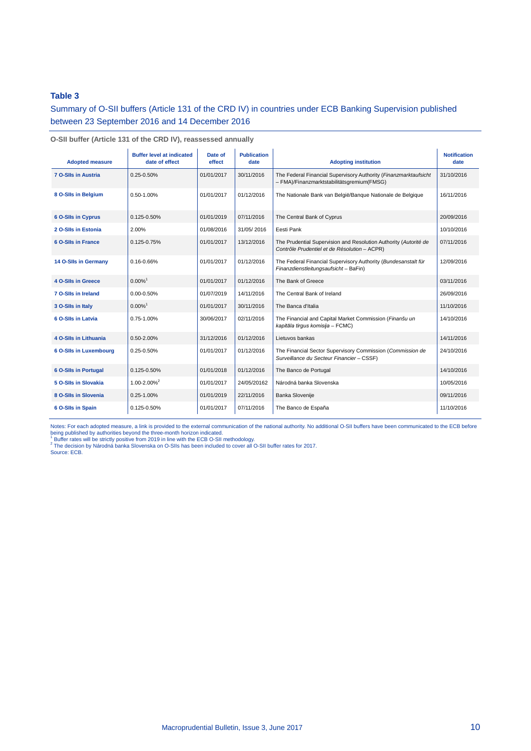# **Table 3**

Summary of O-SII buffers (Article 131 of the CRD IV) in countries under ECB Banking Supervision published between 23 September 2016 and 14 December 2016

| <b>Adopted measure</b>      | <b>Buffer level at indicated</b><br>date of effect | Date of<br>effect | <b>Publication</b><br>date | <b>Adopting institution</b>                                                                                      | <b>Notification</b><br>date |
|-----------------------------|----------------------------------------------------|-------------------|----------------------------|------------------------------------------------------------------------------------------------------------------|-----------------------------|
| <b>7 O-SIIs in Austria</b>  | $0.25 - 0.50\%$                                    | 01/01/2017        | 30/11/2016                 | The Federal Financial Supervisory Authority (Finanzmarktaufsicht<br>- FMA)/Finanzmarktstabilitätsgremium(FMSG)   | 31/10/2016                  |
| 8 O-SIIs in Belgium         | 0.50-1.00%                                         | 01/01/2017        | 01/12/2016                 | The Nationale Bank van België/Banque Nationale de Belgique                                                       | 16/11/2016                  |
| <b>6 O-SIIs in Cyprus</b>   | 0.125-0.50%                                        | 01/01/2019        | 07/11/2016                 | The Central Bank of Cyprus                                                                                       | 20/09/2016                  |
| 2 O-SIIs in Estonia         | 2.00%                                              | 01/08/2016        | 31/05/2016                 | Eesti Pank                                                                                                       | 10/10/2016                  |
| 6 O-SIIs in France          | 0.125-0.75%                                        | 01/01/2017        | 13/12/2016                 | The Prudential Supervision and Resolution Authority (Autorité de<br>Contrôle Prudentiel et de Résolution - ACPR) | 07/11/2016                  |
| 14 O-SIIs in Germany        | 0.16-0.66%                                         | 01/01/2017        | 01/12/2016                 | The Federal Financial Supervisory Authority (Bundesanstalt für<br>Finanzdienstleitungsaufsicht - BaFin)          | 12/09/2016                  |
| <b>4 O-SIIs in Greece</b>   | $0.00\%$ <sup>1</sup>                              | 01/01/2017        | 01/12/2016                 | The Bank of Greece                                                                                               | 03/11/2016                  |
| 7 O-SIIs in Ireland         | 0.00-0.50%                                         | 01/07/2019        | 14/11/2016                 | The Central Bank of Ireland                                                                                      | 26/09/2016                  |
| 3 O-SIIs in Italy           | $0.00\%$ <sup>1</sup>                              | 01/01/2017        | 30/11/2016                 | The Banca d'Italia                                                                                               | 11/10/2016                  |
| 6 O-SIIs in Latvia          | 0.75-1.00%                                         | 30/06/2017        | 02/11/2016                 | The Financial and Capital Market Commission (Finanšu un<br>kapitāla tirgus komisija - FCMC)                      | 14/10/2016                  |
| 4 O-Sils in Lithuania       | 0.50-2.00%                                         | 31/12/2016        | 01/12/2016                 | Lietuvos bankas                                                                                                  | 14/11/2016                  |
| 6 O-SIIs in Luxembourg      | $0.25 - 0.50\%$                                    | 01/01/2017        | 01/12/2016                 | The Financial Sector Supervisory Commission (Commission de<br>Surveillance du Secteur Financier - CSSF)          | 24/10/2016                  |
| <b>6 O-SIIs in Portugal</b> | 0.125-0.50%                                        | 01/01/2018        | 01/12/2016                 | The Banco de Portugal                                                                                            | 14/10/2016                  |
| 5 O-SIIs in Slovakia        | $1.00 - 2.00\%^{2}$                                | 01/01/2017        | 24/05/20162                | Národná banka Slovenska                                                                                          | 10/05/2016                  |
| 8 O-SIIs in Slovenia        | $0.25 - 1.00\%$                                    | 01/01/2019        | 22/11/2016                 | Banka Slovenije                                                                                                  | 09/11/2016                  |
| 6 O-SIIs in Spain           | 0.125-0.50%                                        | 01/01/2017        | 07/11/2016                 | The Banco de España                                                                                              | 11/10/2016                  |

**O-SII buffer (Article 131 of the CRD IV), reassessed annually**

Notes: For each adopted measure, a link is provided to the external communication of the national authority. No additional O-SII buffers have been communicated to the ECB before<br>being published by authorities beyond the th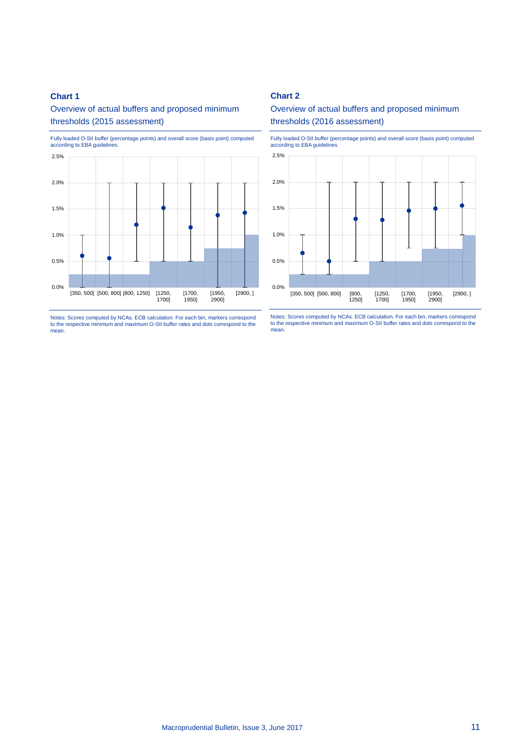# **Chart 1**

Overview of actual buffers and proposed minimum thresholds (2015 assessment)



Notes: Scores computed by NCAs. ECB calculation. For each bin, markers correspond to the respective minimum and maximum O-SII buffer rates and dots correspond to the mean.

# **Chart 2**

# Overview of actual buffers and proposed minimum thresholds (2016 assessment)

Fully loaded O-SII buffer (percentage points) and overall score (basis point) computed according to EBA guidelines.



Notes: Scores computed by NCAs. ECB calculation. For each bin, markers correspond to the respective minimum and maximum O-SII buffer rates and dots correspond to the mean.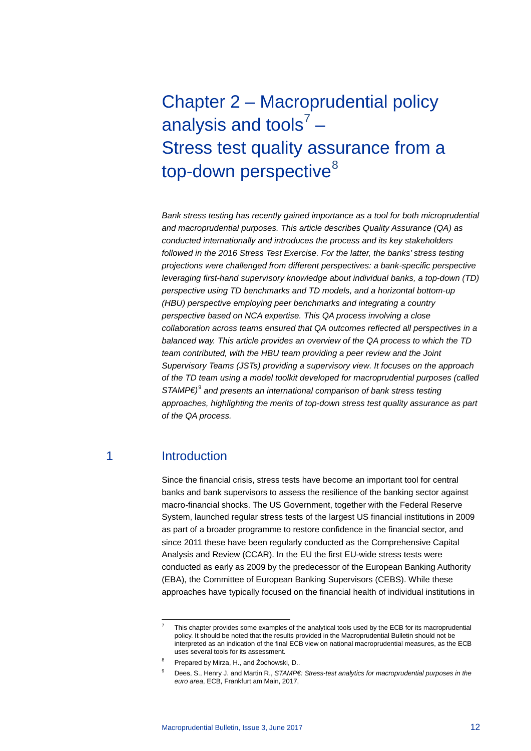# <span id="page-11-0"></span>Chapter 2 – Macroprudential policy analysis and tools<sup>[7](#page-11-1)</sup> – Stress test quality assurance from a top-down perspective<sup>[8](#page-11-2)</sup>

*Bank stress testing has recently gained importance as a tool for both microprudential and macroprudential purposes. This article describes Quality Assurance (QA) as conducted internationally and introduces the process and its key stakeholders followed in the 2016 Stress Test Exercise. For the latter, the banks' stress testing projections were challenged from different perspectives: a bank-specific perspective leveraging first-hand supervisory knowledge about individual banks, a top-down (TD) perspective using TD benchmarks and TD models, and a horizontal bottom-up (HBU) perspective employing peer benchmarks and integrating a country perspective based on NCA expertise. This QA process involving a close collaboration across teams ensured that QA outcomes reflected all perspectives in a balanced way. This article provides an overview of the QA process to which the TD team contributed, with the HBU team providing a peer review and the Joint Supervisory Teams (JSTs) providing a supervisory view. It focuses on the approach of the TD team using a model toolkit developed for macroprudential purposes (called STAMP€)*[9](#page-11-3) *and presents an international comparison of bank stress testing approaches, highlighting the merits of top-down stress test quality assurance as part of the QA process.*

# 1 Introduction

Since the financial crisis, stress tests have become an important tool for central banks and bank supervisors to assess the resilience of the banking sector against macro-financial shocks. The US Government, together with the Federal Reserve System, launched regular stress tests of the largest US financial institutions in 2009 as part of a broader programme to restore confidence in the financial sector, and since 2011 these have been regularly conducted as the Comprehensive Capital Analysis and Review (CCAR). In the EU the first EU-wide stress tests were conducted as early as 2009 by the predecessor of the European Banking Authority (EBA), the Committee of European Banking Supervisors (CEBS). While these approaches have typically focused on the financial health of individual institutions in

 <sup>7</sup> This chapter provides some examples of the analytical tools used by the ECB for its macroprudential policy. It should be noted that the results provided in the Macroprudential Bulletin should not be interpreted as an indication of the final ECB view on national macroprudential measures, as the ECB uses several tools for its assessment.

<span id="page-11-3"></span><span id="page-11-2"></span><span id="page-11-1"></span><sup>8</sup> Prepared by Mirza, H., and Żochowski, D..

Dees, S., Henry J. and Martin R., *STAMP€: Stress-test analytics for macroprudential purposes in the euro area*, ECB, Frankfurt am Main, 2017,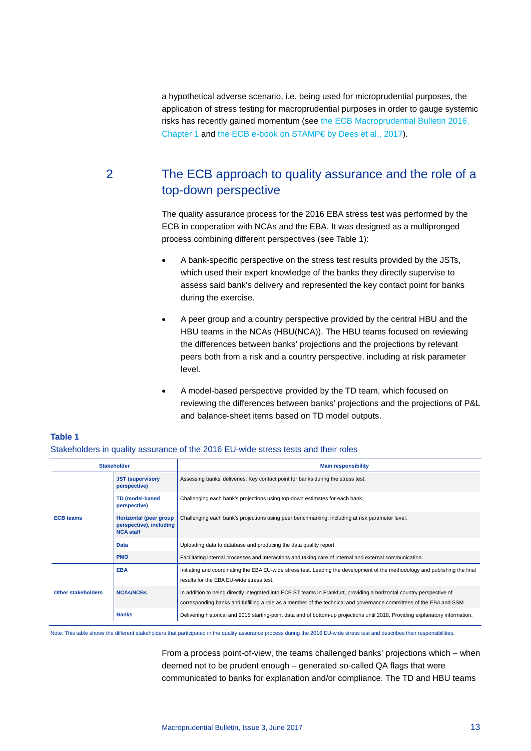a hypothetical adverse scenario, i.e. being used for microprudential purposes, the application of stress testing for macroprudential purposes in order to gauge systemic risks has recently gained momentum (see [the ECB Macroprudential Bulletin 2016,](https://www.ecb.europa.eu/pub/pdf/other/ecbmpbu201610.en.pdf?4ff75059d461c8853fe7e7b1082f697c)  [Chapter 1](https://www.ecb.europa.eu/pub/pdf/other/ecbmpbu201610.en.pdf?4ff75059d461c8853fe7e7b1082f697c) and [the ECB e-book on STAMP€ by Dees et al., 2017\)](https://www.ecb.europa.eu/pub/pdf/other/stampe201702.en.pdf?191bf2b9ffb8d5f3904a715eda51367f).

**Table 1**

# 2 The ECB approach to quality assurance and the role of a top-down perspective

The quality assurance process for the 2016 EBA stress test was performed by the ECB in cooperation with NCAs and the EBA. It was designed as a multipronged process combining different perspectives (see Table 1):

- A bank-specific perspective on the stress test results provided by the JSTs, which used their expert knowledge of the banks they directly supervise to assess said bank's delivery and represented the key contact point for banks during the exercise.
- A peer group and a country perspective provided by the central HBU and the HBU teams in the NCAs (HBU(NCA)). The HBU teams focused on reviewing the differences between banks' projections and the projections by relevant peers both from a risk and a country perspective, including at risk parameter level.
- A model-based perspective provided by the TD team, which focused on reviewing the differences between banks' projections and the projections of P&L and balance-sheet items based on TD model outputs.

|                    | <b>Stakeholder</b>                                                    | <b>Main responsibility</b>                                                                                                                                                                                                                     |  |  |  |  |  |
|--------------------|-----------------------------------------------------------------------|------------------------------------------------------------------------------------------------------------------------------------------------------------------------------------------------------------------------------------------------|--|--|--|--|--|
|                    | <b>JST</b> (supervisory<br>perspective)                               | Assessing banks' deliveries. Key contact point for banks during the stress test.                                                                                                                                                               |  |  |  |  |  |
|                    | <b>TD</b> (model-based<br>perspective)                                | Challenging each bank's projections using top-down estimates for each bank.                                                                                                                                                                    |  |  |  |  |  |
| <b>ECB teams</b>   | Horizontal (peer group<br>perspective), including<br><b>NCA staff</b> | Challenging each bank's projections using peer benchmarking, including at risk parameter level.                                                                                                                                                |  |  |  |  |  |
|                    | <b>Data</b>                                                           | Uploading data to database and producing the data quality report.                                                                                                                                                                              |  |  |  |  |  |
|                    | <b>PMO</b>                                                            | Facilitating internal processes and interactions and taking care of internal and external communication.                                                                                                                                       |  |  |  |  |  |
|                    | <b>EBA</b>                                                            | Initiating and coordinating the EBA EU-wide stress test. Leading the development of the methodology and publishing the final<br>results for the EBA EU-wide stress test.                                                                       |  |  |  |  |  |
| Other stakeholders | <b>NCAS/NCBs</b>                                                      | In addition to being directly integrated into ECB ST teams in Frankfurt, providing a horizontal country perspective of<br>corresponding banks and fulfilling a role as a member of the technical and governance committees of the EBA and SSM. |  |  |  |  |  |
|                    | <b>Banks</b>                                                          | Delivering historical and 2015 starting-point data and of bottom-up projections until 2018. Providing explanatory information.                                                                                                                 |  |  |  |  |  |

# Stakeholders in quality assurance of the 2016 EU-wide stress tests and their roles

Note: This table shows the different stakeholders that participated in the quality assurance process during the 2016 EU-wide stress test and describes their responsibilities.

From a process point-of-view, the teams challenged banks' projections which – when deemed not to be prudent enough – generated so-called QA flags that were communicated to banks for explanation and/or compliance. The TD and HBU teams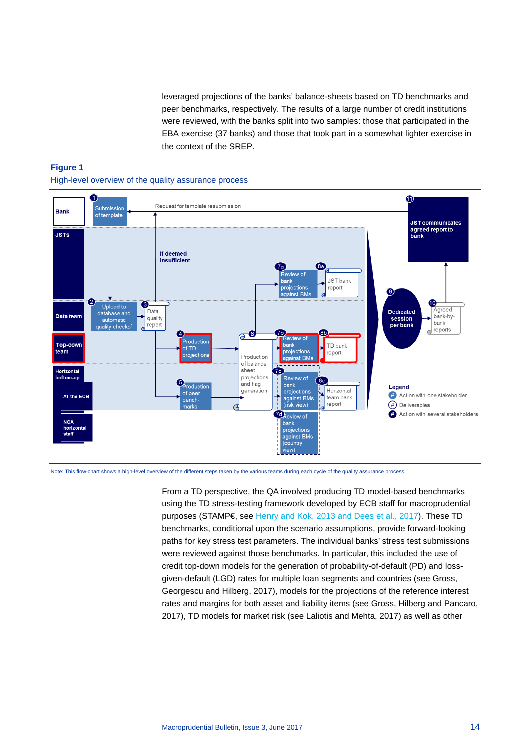leveraged projections of the banks' balance-sheets based on TD benchmarks and peer benchmarks, respectively. The results of a large number of credit institutions were reviewed, with the banks split into two samples: those that participated in the EBA exercise (37 banks) and those that took part in a somewhat lighter exercise in the context of the SREP.

# **Figure 1** High-level overview of the quality assurance process



Note: This flow-chart shows a high-level overview of the different steps taken by the various teams during each cycle of the quality assurance process.

From a TD perspective, the QA involved producing TD model-based benchmarks using the TD stress-testing framework developed by ECB staff for macroprudential purposes (STAMP€, see [Henry and Kok, 2013](https://www.ecb.europa.eu/pub/pdf/scpops/ecbocp152.pdf?d6abeaccc88f250577caff6f51130ecd) and Dees et al., 2017). These TD benchmarks, conditional upon the scenario assumptions, provide forward-looking paths for key stress test parameters. The individual banks' stress test submissions were reviewed against those benchmarks. In particular, this included the use of credit top-down models for the generation of probability-of-default (PD) and lossgiven-default (LGD) rates for multiple loan segments and countries (see Gross, Georgescu and Hilberg, 2017), models for the projections of the reference interest rates and margins for both asset and liability items (see Gross, Hilberg and Pancaro, 2017), TD models for market risk (see Laliotis and Mehta, 2017) as well as other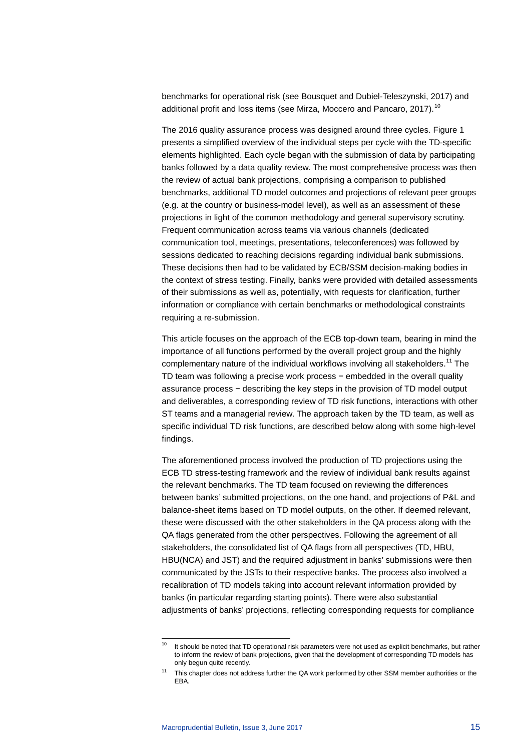benchmarks for operational risk (see Bousquet and Dubiel-Teleszynski, 2017) and additional profit and loss items (see Mirza, Moccero and Pancaro, 2017).<sup>[10](#page-14-0)</sup>

The 2016 quality assurance process was designed around three cycles. Figure 1 presents a simplified overview of the individual steps per cycle with the TD-specific elements highlighted. Each cycle began with the submission of data by participating banks followed by a data quality review. The most comprehensive process was then the review of actual bank projections, comprising a comparison to published benchmarks, additional TD model outcomes and projections of relevant peer groups (e.g. at the country or business-model level), as well as an assessment of these projections in light of the common methodology and general supervisory scrutiny. Frequent communication across teams via various channels (dedicated communication tool, meetings, presentations, teleconferences) was followed by sessions dedicated to reaching decisions regarding individual bank submissions. These decisions then had to be validated by ECB/SSM decision-making bodies in the context of stress testing. Finally, banks were provided with detailed assessments of their submissions as well as, potentially, with requests for clarification, further information or compliance with certain benchmarks or methodological constraints requiring a re-submission.

This article focuses on the approach of the ECB top-down team, bearing in mind the importance of all functions performed by the overall project group and the highly complementary nature of the individual workflows involving all stakeholders.<sup>[11](#page-14-1)</sup> The TD team was following a precise work process − embedded in the overall quality assurance process − describing the key steps in the provision of TD model output and deliverables, a corresponding review of TD risk functions, interactions with other ST teams and a managerial review. The approach taken by the TD team, as well as specific individual TD risk functions, are described below along with some high-level findings.

The aforementioned process involved the production of TD projections using the ECB TD stress-testing framework and the review of individual bank results against the relevant benchmarks. The TD team focused on reviewing the differences between banks' submitted projections, on the one hand, and projections of P&L and balance-sheet items based on TD model outputs, on the other. If deemed relevant, these were discussed with the other stakeholders in the QA process along with the QA flags generated from the other perspectives. Following the agreement of all stakeholders, the consolidated list of QA flags from all perspectives (TD, HBU, HBU(NCA) and JST) and the required adjustment in banks' submissions were then communicated by the JSTs to their respective banks. The process also involved a recalibration of TD models taking into account relevant information provided by banks (in particular regarding starting points). There were also substantial adjustments of banks' projections, reflecting corresponding requests for compliance

<span id="page-14-1"></span><span id="page-14-0"></span> $10$  It should be noted that TD operational risk parameters were not used as explicit benchmarks, but rather to inform the review of bank projections, given that the development of corresponding TD models has only begun quite recently.

This chapter does not address further the QA work performed by other SSM member authorities or the EBA.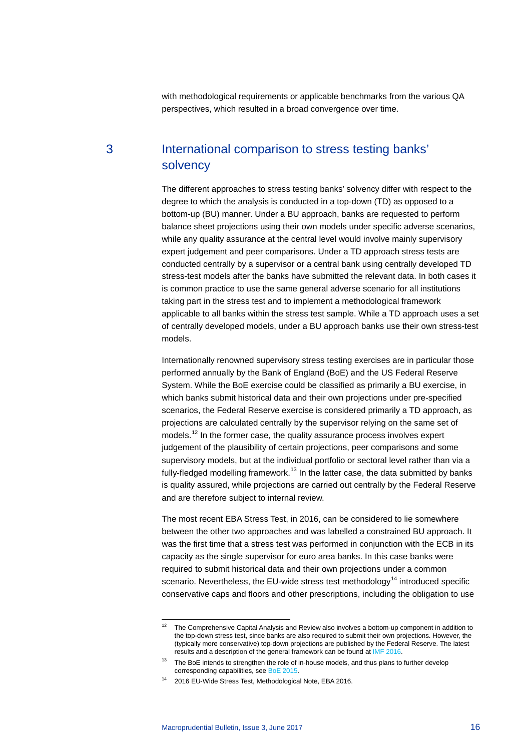with methodological requirements or applicable benchmarks from the various QA perspectives, which resulted in a broad convergence over time.

# 3 International comparison to stress testing banks' solvency

The different approaches to stress testing banks' solvency differ with respect to the degree to which the analysis is conducted in a top-down (TD) as opposed to a bottom-up (BU) manner. Under a BU approach, banks are requested to perform balance sheet projections using their own models under specific adverse scenarios, while any quality assurance at the central level would involve mainly supervisory expert judgement and peer comparisons. Under a TD approach stress tests are conducted centrally by a supervisor or a central bank using centrally developed TD stress-test models after the banks have submitted the relevant data. In both cases it is common practice to use the same general adverse scenario for all institutions taking part in the stress test and to implement a methodological framework applicable to all banks within the stress test sample. While a TD approach uses a set of centrally developed models, under a BU approach banks use their own stress-test models.

Internationally renowned supervisory stress testing exercises are in particular those performed annually by the Bank of England (BoE) and the US Federal Reserve System. While the BoE exercise could be classified as primarily a BU exercise, in which banks submit historical data and their own projections under pre-specified scenarios, the Federal Reserve exercise is considered primarily a TD approach, as projections are calculated centrally by the supervisor relying on the same set of models.<sup>[12](#page-15-0)</sup> In the former case, the quality assurance process involves expert judgement of the plausibility of certain projections, peer comparisons and some supervisory models, but at the individual portfolio or sectoral level rather than via a fully-fledged modelling framework.<sup>[13](#page-15-1)</sup> In the latter case, the data submitted by banks is quality assured, while projections are carried out centrally by the Federal Reserve and are therefore subject to internal review.

The most recent EBA Stress Test, in 2016, can be considered to lie somewhere between the other two approaches and was labelled a constrained BU approach. It was the first time that a stress test was performed in conjunction with the ECB in its capacity as the single supervisor for euro area banks. In this case banks were required to submit historical data and their own projections under a common scenario. Nevertheless, the EU-wide stress test methodology<sup>[14](#page-15-2)</sup> introduced specific conservative caps and floors and other prescriptions, including the obligation to use

<span id="page-15-0"></span> $12$  The Comprehensive Capital Analysis and Review also involves a bottom-up component in addition to the top-down stress test, since banks are also required to submit their own projections. However, the (typically more conservative) top-down projections are published by the Federal Reserve. The latest results and a description of the general framework can be found at [IMF 2016.](https://www.federalreserve.gov/newsevents/press/bcreg/bcreg20160629a1.pdf)

<span id="page-15-1"></span> $13$  The BoE intends to strengthen the role of in-house models, and thus plans to further develop corresponding capabilities, se[e BoE 2015.](http://www.bankofengland.co.uk/financialstability/Documents/stresstesting/2015/approach.pdf)

<span id="page-15-2"></span><sup>14</sup> 2016 EU-Wide Stress Test, Methodological Note, EBA 2016.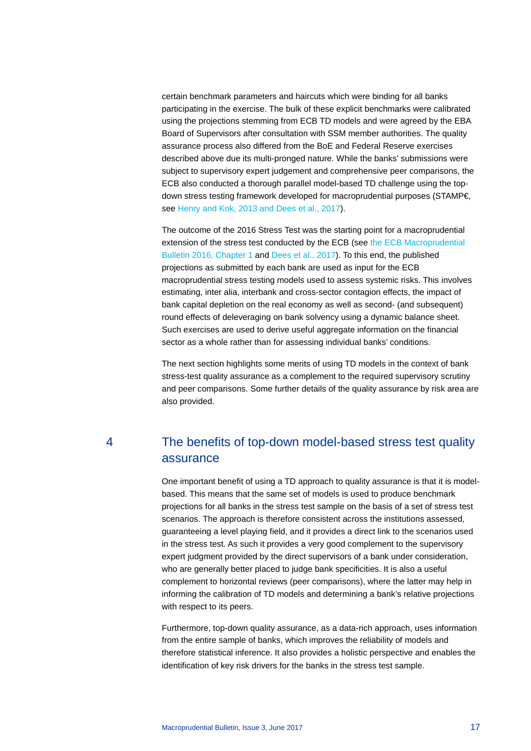certain benchmark parameters and haircuts which were binding for all banks participating in the exercise. The bulk of these explicit benchmarks were calibrated using the projections stemming from ECB TD models and were agreed by the EBA Board of Supervisors after consultation with SSM member authorities. The quality assurance process also differed from the BoE and Federal Reserve exercises described above due its multi-pronged nature. While the banks' submissions were subject to supervisory expert judgement and comprehensive peer comparisons, the ECB also conducted a thorough parallel model-based TD challenge using the topdown stress testing framework developed for macroprudential purposes (STAMP€, see [Henry and Kok, 2013](https://www.ecb.europa.eu/pub/pdf/scpops/ecbocp152.pdf?d6abeaccc88f250577caff6f51130ecd) and Dees et al., 2017).

The outcome of the 2016 Stress Test was the starting point for a macroprudential extension of the stress test conducted by the ECB (see [the ECB Macroprudential](https://www.ecb.europa.eu/pub/pdf/other/ecbmpbu201610.en.pdf?4ff75059d461c8853fe7e7b1082f697c)  [Bulletin 2016, Chapter 1](https://www.ecb.europa.eu/pub/pdf/other/ecbmpbu201610.en.pdf?4ff75059d461c8853fe7e7b1082f697c) and [Dees et al., 2017\)](https://www.ecb.europa.eu/pub/pdf/other/stampe201702.en.pdf?191bf2b9ffb8d5f3904a715eda51367f). To this end, the published projections as submitted by each bank are used as input for the ECB macroprudential stress testing models used to assess systemic risks. This involves estimating, inter alia, interbank and cross-sector contagion effects, the impact of bank capital depletion on the real economy as well as second- (and subsequent) round effects of deleveraging on bank solvency using a dynamic balance sheet. Such exercises are used to derive useful aggregate information on the financial sector as a whole rather than for assessing individual banks' conditions.

The next section highlights some merits of using TD models in the context of bank stress-test quality assurance as a complement to the required supervisory scrutiny and peer comparisons. Some further details of the quality assurance by risk area are also provided.

# 4 The benefits of top-down model-based stress test quality assurance

One important benefit of using a TD approach to quality assurance is that it is modelbased. This means that the same set of models is used to produce benchmark projections for all banks in the stress test sample on the basis of a set of stress test scenarios. The approach is therefore consistent across the institutions assessed, guaranteeing a level playing field, and it provides a direct link to the scenarios used in the stress test. As such it provides a very good complement to the supervisory expert judgment provided by the direct supervisors of a bank under consideration, who are generally better placed to judge bank specificities. It is also a useful complement to horizontal reviews (peer comparisons), where the latter may help in informing the calibration of TD models and determining a bank's relative projections with respect to its peers.

Furthermore, top-down quality assurance, as a data-rich approach, uses information from the entire sample of banks, which improves the reliability of models and therefore statistical inference. It also provides a holistic perspective and enables the identification of key risk drivers for the banks in the stress test sample.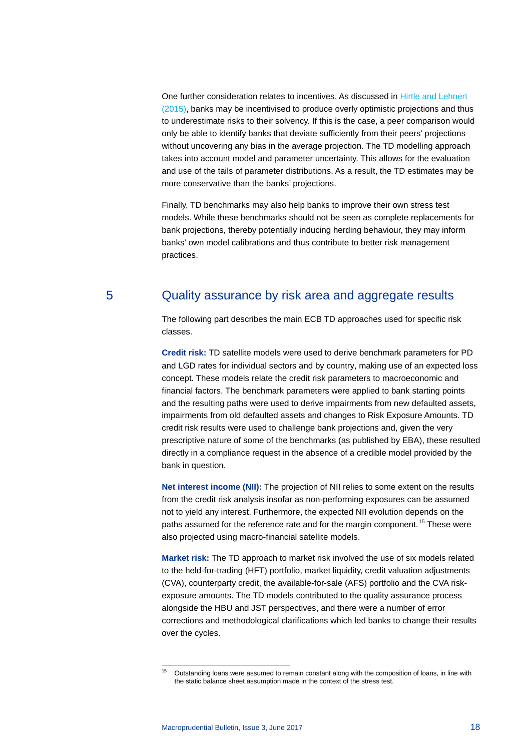One further consideration relates to incentives. As discussed in [Hirtle and Lehnert](http://annualreviews.org/doi/abs/10.1146/annurev-financial-111914-042040)  [\(2015\),](http://annualreviews.org/doi/abs/10.1146/annurev-financial-111914-042040) banks may be incentivised to produce overly optimistic projections and thus to underestimate risks to their solvency. If this is the case, a peer comparison would only be able to identify banks that deviate sufficiently from their peers' projections without uncovering any bias in the average projection. The TD modelling approach takes into account model and parameter uncertainty. This allows for the evaluation and use of the tails of parameter distributions. As a result, the TD estimates may be more conservative than the banks' projections.

Finally, TD benchmarks may also help banks to improve their own stress test models. While these benchmarks should not be seen as complete replacements for bank projections, thereby potentially inducing herding behaviour, they may inform banks' own model calibrations and thus contribute to better risk management practices.

# 5 Quality assurance by risk area and aggregate results

The following part describes the main ECB TD approaches used for specific risk classes.

**Credit risk:** TD satellite models were used to derive benchmark parameters for PD and LGD rates for individual sectors and by country, making use of an expected loss concept. These models relate the credit risk parameters to macroeconomic and financial factors. The benchmark parameters were applied to bank starting points and the resulting paths were used to derive impairments from new defaulted assets, impairments from old defaulted assets and changes to Risk Exposure Amounts. TD credit risk results were used to challenge bank projections and, given the very prescriptive nature of some of the benchmarks (as published by EBA), these resulted directly in a compliance request in the absence of a credible model provided by the bank in question.

**Net interest income (NII):** The projection of NII relies to some extent on the results from the credit risk analysis insofar as non-performing exposures can be assumed not to yield any interest. Furthermore, the expected NII evolution depends on the paths assumed for the reference rate and for the margin component.<sup>[15](#page-17-0)</sup> These were also projected using macro-financial satellite models.

**Market risk:** The TD approach to market risk involved the use of six models related to the held-for-trading (HFT) portfolio, market liquidity, credit valuation adjustments (CVA), counterparty credit, the available-for-sale (AFS) portfolio and the CVA riskexposure amounts. The TD models contributed to the quality assurance process alongside the HBU and JST perspectives, and there were a number of error corrections and methodological clarifications which led banks to change their results over the cycles.

<span id="page-17-0"></span>Outstanding loans were assumed to remain constant along with the composition of loans, in line with the static balance sheet assumption made in the context of the stress test.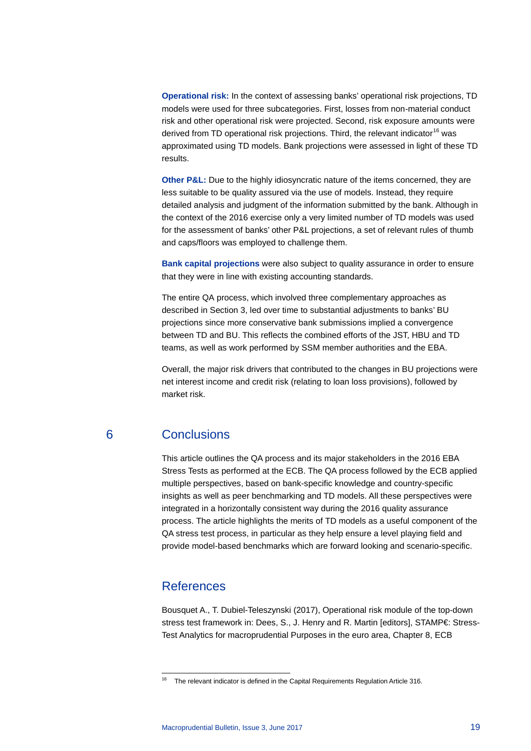**Operational risk:** In the context of assessing banks' operational risk projections, TD models were used for three subcategories. First, losses from non-material conduct risk and other operational risk were projected. Second, risk exposure amounts were derived from TD operational risk projections. Third, the relevant indicator<sup>[16](#page-18-0)</sup> was approximated using TD models. Bank projections were assessed in light of these TD results.

**Other P&L:** Due to the highly idiosyncratic nature of the items concerned, they are less suitable to be quality assured via the use of models. Instead, they require detailed analysis and judgment of the information submitted by the bank. Although in the context of the 2016 exercise only a very limited number of TD models was used for the assessment of banks' other P&L projections, a set of relevant rules of thumb and caps/floors was employed to challenge them.

**Bank capital projections** were also subject to quality assurance in order to ensure that they were in line with existing accounting standards.

The entire QA process, which involved three complementary approaches as described in Section 3, led over time to substantial adjustments to banks' BU projections since more conservative bank submissions implied a convergence between TD and BU. This reflects the combined efforts of the JST, HBU and TD teams, as well as work performed by SSM member authorities and the EBA.

Overall, the major risk drivers that contributed to the changes in BU projections were net interest income and credit risk (relating to loan loss provisions), followed by market risk.

# 6 Conclusions

This article outlines the QA process and its major stakeholders in the 2016 EBA Stress Tests as performed at the ECB. The QA process followed by the ECB applied multiple perspectives, based on bank-specific knowledge and country-specific insights as well as peer benchmarking and TD models. All these perspectives were integrated in a horizontally consistent way during the 2016 quality assurance process. The article highlights the merits of TD models as a useful component of the QA stress test process, in particular as they help ensure a level playing field and provide model-based benchmarks which are forward looking and scenario-specific.

# References

Bousquet A., T. Dubiel-Teleszynski (2017), Operational risk module of the top-down stress test framework in: Dees, S., J. Henry and R. Martin [editors], STAMP€: Stress-Test Analytics for macroprudential Purposes in the euro area, Chapter 8, ECB

<span id="page-18-0"></span><sup>&</sup>lt;sup>16</sup> The relevant indicator is defined in the Capital Requirements Regulation Article 316.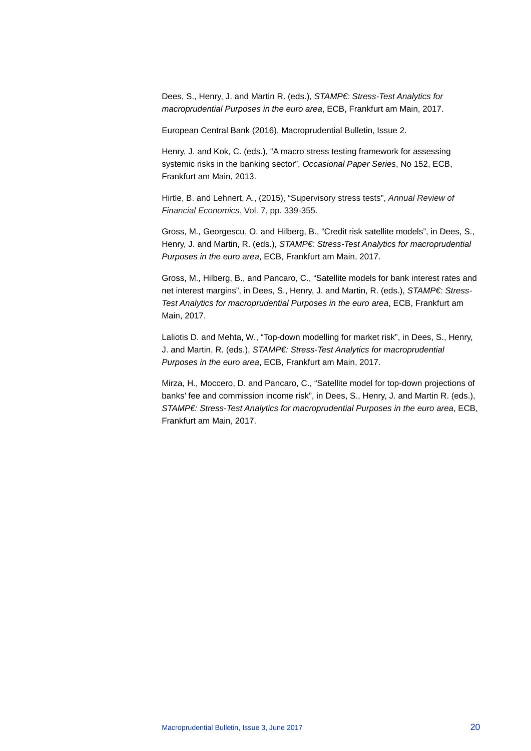Dees, S., Henry, J. and Martin R. (eds.), *STAMP€: Stress-Test Analytics for macroprudential Purposes in the euro area*, ECB, Frankfurt am Main, 2017.

European Central Bank (2016), Macroprudential Bulletin, Issue 2.

Henry, J. and Kok, C. (eds.), "A macro stress testing framework for assessing systemic risks in the banking sector", *Occasional Paper Series*, No 152, ECB, Frankfurt am Main, 2013.

Hirtle, B. and Lehnert, A., (2015), "Supervisory stress tests", *Annual Review of Financial Economics*, Vol. 7, pp. 339-355.

Gross, M., Georgescu, O. and Hilberg, B., "Credit risk satellite models", in Dees, S., Henry, J. and Martin, R. (eds.), *STAMP€: Stress-Test Analytics for macroprudential Purposes in the euro area*, ECB, Frankfurt am Main, 2017.

Gross, M., Hilberg, B., and Pancaro, C., "Satellite models for bank interest rates and net interest margins", in Dees, S., Henry, J. and Martin, R. (eds.), *STAMP€: Stress-Test Analytics for macroprudential Purposes in the euro area*, ECB, Frankfurt am Main, 2017.

Laliotis D. and Mehta, W., "Top-down modelling for market risk", in Dees, S., Henry, J. and Martin, R. (eds.), *STAMP€: Stress-Test Analytics for macroprudential Purposes in the euro area*, ECB, Frankfurt am Main, 2017.

Mirza, H., Moccero, D. and Pancaro, C., "Satellite model for top-down projections of banks' fee and commission income risk", in Dees, S., Henry, J. and Martin R. (eds.), *STAMP€: Stress-Test Analytics for macroprudential Purposes in the euro area*, ECB, Frankfurt am Main, 2017.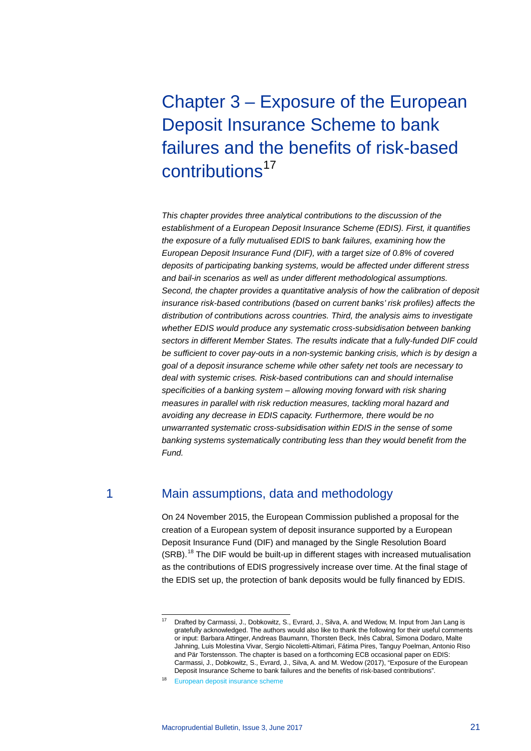# Chapter 3 – Exposure of the European Deposit Insurance Scheme to bank failures and the benefits of risk-based contributions<sup>[17](#page-20-0)</sup>

*This chapter provides three analytical contributions to the discussion of the establishment of a European Deposit Insurance Scheme (EDIS). First, it quantifies the exposure of a fully mutualised EDIS to bank failures, examining how the European Deposit Insurance Fund (DIF), with a target size of 0.8% of covered deposits of participating banking systems, would be affected under different stress and bail-in scenarios as well as under different methodological assumptions. Second, the chapter provides a quantitative analysis of how the calibration of deposit insurance risk-based contributions (based on current banks' risk profiles) affects the distribution of contributions across countries. Third, the analysis aims to investigate whether EDIS would produce any systematic cross-subsidisation between banking sectors in different Member States. The results indicate that a fully-funded DIF could be sufficient to cover pay-outs in a non-systemic banking crisis, which is by design a goal of a deposit insurance scheme while other safety net tools are necessary to deal with systemic crises. Risk-based contributions can and should internalise specificities of a banking system – allowing moving forward with risk sharing measures in parallel with risk reduction measures, tackling moral hazard and avoiding any decrease in EDIS capacity. Furthermore, there would be no unwarranted systematic cross-subsidisation within EDIS in the sense of some banking systems systematically contributing less than they would benefit from the Fund.*

# 1 Main assumptions, data and methodology

On 24 November 2015, the European Commission published a proposal for the creation of a European system of deposit insurance supported by a European Deposit Insurance Fund (DIF) and managed by the Single Resolution Board (SRB).[18](#page-20-1) The DIF would be built-up in different stages with increased mutualisation as the contributions of EDIS progressively increase over time. At the final stage of the EDIS set up, the protection of bank deposits would be fully financed by EDIS.

<span id="page-20-0"></span>Drafted by Carmassi, J., Dobkowitz, S., Evrard, J., Silva, A. and Wedow, M. Input from Jan Lang is gratefully acknowledged. The authors would also like to thank the following for their useful comments or input: Barbara Attinger, Andreas Baumann, Thorsten Beck, Inês Cabral, Simona Dodaro, Malte Jahning, Luis Molestina Vivar, Sergio Nicoletti-Altimari, Fátima Pires, Tanguy Poelman, Antonio Riso and Pär Torstensson. The chapter is based on a forthcoming ECB occasional paper on EDIS: Carmassi, J., Dobkowitz, S., Evrard, J., Silva, A. and M. Wedow (2017), "Exposure of the European Deposit Insurance Scheme to bank failures and the benefits of risk-based contributions".

<span id="page-20-1"></span><sup>18</sup> [European deposit insurance scheme](https://ec.europa.eu/info/business-economy-euro/banking-and-finance/banking-union/european-deposit-insurance-scheme_en)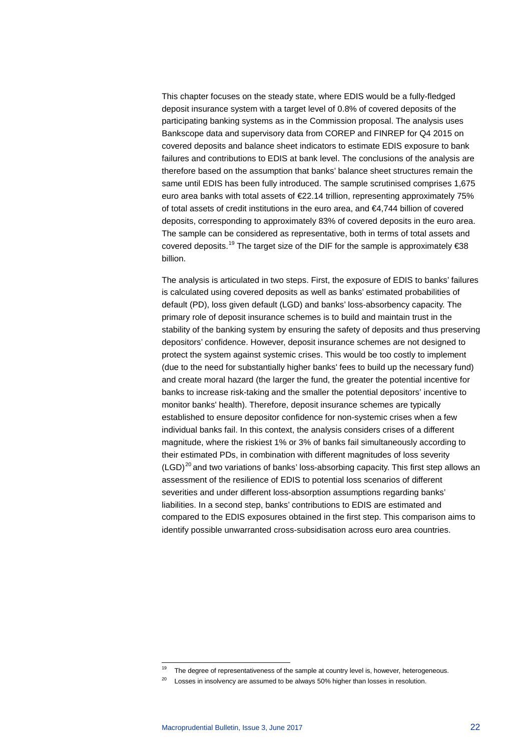This chapter focuses on the steady state, where EDIS would be a fully-fledged deposit insurance system with a target level of 0.8% of covered deposits of the participating banking systems as in the Commission proposal. The analysis uses Bankscope data and supervisory data from COREP and FINREP for Q4 2015 on covered deposits and balance sheet indicators to estimate EDIS exposure to bank failures and contributions to EDIS at bank level. The conclusions of the analysis are therefore based on the assumption that banks' balance sheet structures remain the same until EDIS has been fully introduced. The sample scrutinised comprises 1,675 euro area banks with total assets of €22.14 trillion, representing approximately 75% of total assets of credit institutions in the euro area, and €4,744 billion of covered deposits, corresponding to approximately 83% of covered deposits in the euro area. The sample can be considered as representative, both in terms of total assets and covered deposits.<sup>[19](#page-21-0)</sup> The target size of the DIF for the sample is approximately  $\epsilon$ 38 billion.

The analysis is articulated in two steps. First, the exposure of EDIS to banks' failures is calculated using covered deposits as well as banks' estimated probabilities of default (PD), loss given default (LGD) and banks' loss-absorbency capacity. The primary role of deposit insurance schemes is to build and maintain trust in the stability of the banking system by ensuring the safety of deposits and thus preserving depositors' confidence. However, deposit insurance schemes are not designed to protect the system against systemic crises. This would be too costly to implement (due to the need for substantially higher banks' fees to build up the necessary fund) and create moral hazard (the larger the fund, the greater the potential incentive for banks to increase risk-taking and the smaller the potential depositors' incentive to monitor banks' health). Therefore, deposit insurance schemes are typically established to ensure depositor confidence for non-systemic crises when a few individual banks fail. In this context, the analysis considers crises of a different magnitude, where the riskiest 1% or 3% of banks fail simultaneously according to their estimated PDs, in combination with different magnitudes of loss severity  $(LGD)^{20}$  $(LGD)^{20}$  $(LGD)^{20}$  and two variations of banks' loss-absorbing capacity. This first step allows an assessment of the resilience of EDIS to potential loss scenarios of different severities and under different loss-absorption assumptions regarding banks' liabilities. In a second step, banks' contributions to EDIS are estimated and compared to the EDIS exposures obtained in the first step. This comparison aims to identify possible unwarranted cross-subsidisation across euro area countries.

<sup>&</sup>lt;sup>19</sup> The degree of representativeness of the sample at country level is, however, heterogeneous.

<span id="page-21-1"></span><span id="page-21-0"></span> $20$  Losses in insolvency are assumed to be always 50% higher than losses in resolution.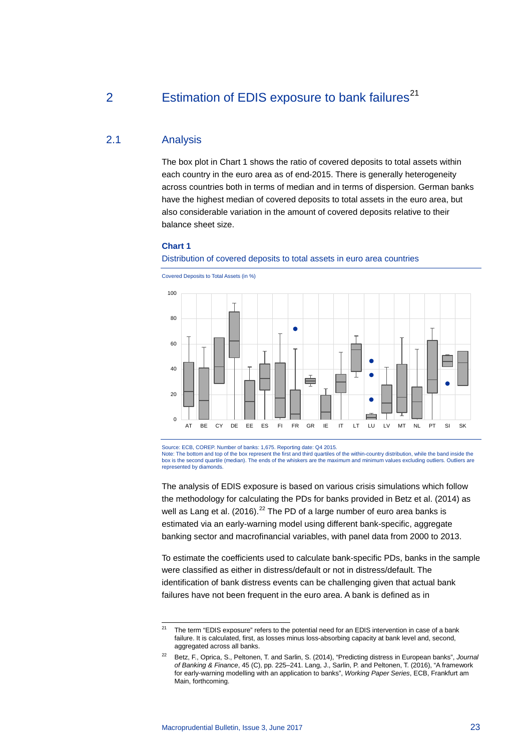# 2 Estimation of EDIS exposure to bank failures<sup>[21](#page-22-0)</sup>

# 2.1 Analysis

The box plot in Chart 1 shows the ratio of covered deposits to total assets within each country in the euro area as of end-2015. There is generally heterogeneity across countries both in terms of median and in terms of dispersion. German banks have the highest median of covered deposits to total assets in the euro area, but also considerable variation in the amount of covered deposits relative to their balance sheet size.

### **Chart 1**

### Distribution of covered deposits to total assets in euro area countries



Covered Deposits to Total Assets (in %)

Source: ECB, COREP. Number of banks: 1,675. Reporting date: Q4 2015. Note: The bottom and top of the box represent the first and third quartiles of the within-country distribution, while the band inside the box is the second quartile (median). The ends of the whiskers are the maximum and minimum values excluding outliers. Outliers are represented by diamonds.

The analysis of EDIS exposure is based on various crisis simulations which follow the methodology for calculating the PDs for banks provided in Betz et al. (2014) as well as Lang et al. (2016).<sup>[22](#page-22-1)</sup> The PD of a large number of euro area banks is estimated via an early-warning model using different bank-specific, aggregate banking sector and macrofinancial variables, with panel data from 2000 to 2013.

To estimate the coefficients used to calculate bank-specific PDs, banks in the sample were classified as either in distress/default or not in distress/default. The identification of bank distress events can be challenging given that actual bank failures have not been frequent in the euro area. A bank is defined as in

<span id="page-22-0"></span> $21$  The term "EDIS exposure" refers to the potential need for an EDIS intervention in case of a bank failure. It is calculated, first, as losses minus loss-absorbing capacity at bank level and, second, aggregated across all banks.

<span id="page-22-1"></span><sup>22</sup> Betz, F., Oprica, S., Peltonen, T. and Sarlin, S. (2014), "Predicting distress in European banks", *Journal of Banking & Finance*, 45 (C), pp. 225–241. Lang, J., Sarlin, P. and Peltonen, T. (2016), "A framework for early-warning modelling with an application to banks", *Working Paper Series*, ECB, Frankfurt am Main, forthcoming.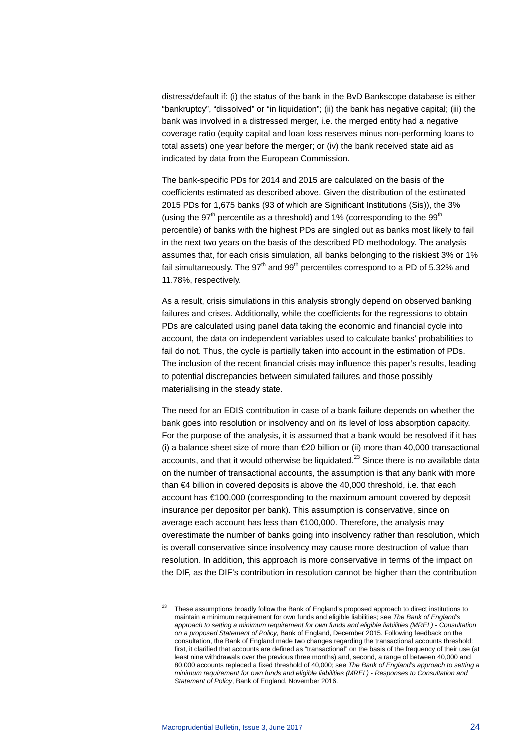distress/default if: (i) the status of the bank in the BvD Bankscope database is either "bankruptcy", "dissolved" or "in liquidation"; (ii) the bank has negative capital; (iii) the bank was involved in a distressed merger, i.e. the merged entity had a negative coverage ratio (equity capital and loan loss reserves minus non-performing loans to total assets) one year before the merger; or (iv) the bank received state aid as indicated by data from the European Commission.

The bank-specific PDs for 2014 and 2015 are calculated on the basis of the coefficients estimated as described above. Given the distribution of the estimated 2015 PDs for 1,675 banks (93 of which are Significant Institutions (Sis)), the 3% (using the  $97<sup>th</sup>$  percentile as a threshold) and 1% (corresponding to the  $99<sup>th</sup>$ percentile) of banks with the highest PDs are singled out as banks most likely to fail in the next two years on the basis of the described PD methodology. The analysis assumes that, for each crisis simulation, all banks belonging to the riskiest 3% or 1% fail simultaneously. The  $97<sup>th</sup>$  and  $99<sup>th</sup>$  percentiles correspond to a PD of 5.32% and 11.78%, respectively.

As a result, crisis simulations in this analysis strongly depend on observed banking failures and crises. Additionally, while the coefficients for the regressions to obtain PDs are calculated using panel data taking the economic and financial cycle into account, the data on independent variables used to calculate banks' probabilities to fail do not. Thus, the cycle is partially taken into account in the estimation of PDs. The inclusion of the recent financial crisis may influence this paper's results, leading to potential discrepancies between simulated failures and those possibly materialising in the steady state.

The need for an EDIS contribution in case of a bank failure depends on whether the bank goes into resolution or insolvency and on its level of loss absorption capacity. For the purpose of the analysis, it is assumed that a bank would be resolved if it has (i) a balance sheet size of more than €20 billion or (ii) more than 40,000 transactional accounts, and that it would otherwise be liquidated.<sup>[23](#page-23-0)</sup> Since there is no available data on the number of transactional accounts, the assumption is that any bank with more than €4 billion in covered deposits is above the 40,000 threshold, i.e. that each account has €100,000 (corresponding to the maximum amount covered by deposit insurance per depositor per bank). This assumption is conservative, since on average each account has less than €100,000. Therefore, the analysis may overestimate the number of banks going into insolvency rather than resolution, which is overall conservative since insolvency may cause more destruction of value than resolution. In addition, this approach is more conservative in terms of the impact on the DIF, as the DIF's contribution in resolution cannot be higher than the contribution

<span id="page-23-0"></span><sup>&</sup>lt;sup>23</sup> These assumptions broadly follow the Bank of England's proposed approach to direct institutions to maintain a minimum requirement for own funds and eligible liabilities; see *The Bank of England's approach to setting a minimum requirement for own funds and eligible liabilities (MREL) - Consultation on a proposed Statement of Policy*, Bank of England, December 2015. Following feedback on the consultation, the Bank of England made two changes regarding the transactional accounts threshold: first, it clarified that accounts are defined as "transactional" on the basis of the frequency of their use (at least nine withdrawals over the previous three months) and, second, a range of between 40,000 and 80,000 accounts replaced a fixed threshold of 40,000; see *The Bank of England's approach to setting a minimum requirement for own funds and eligible liabilities (MREL) - Responses to Consultation and Statement of Policy*, Bank of England, November 2016.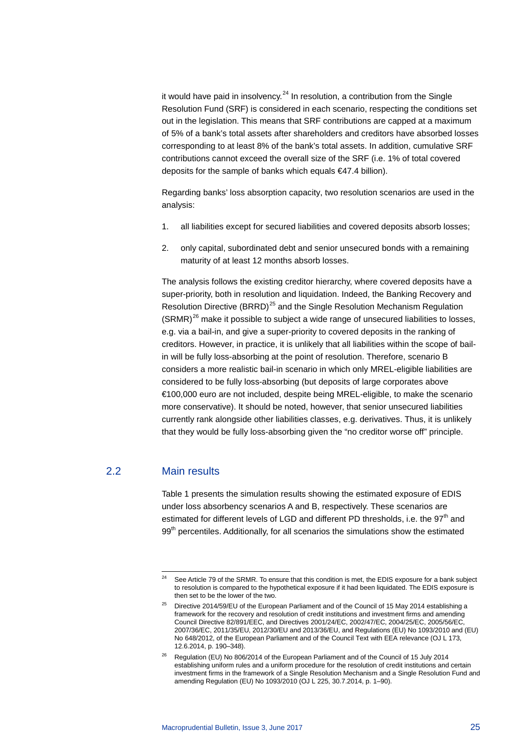it would have paid in insolvency. $24$  In resolution, a contribution from the Single Resolution Fund (SRF) is considered in each scenario, respecting the conditions set out in the legislation. This means that SRF contributions are capped at a maximum of 5% of a bank's total assets after shareholders and creditors have absorbed losses corresponding to at least 8% of the bank's total assets. In addition, cumulative SRF contributions cannot exceed the overall size of the SRF (i.e. 1% of total covered deposits for the sample of banks which equals €47.4 billion).

Regarding banks' loss absorption capacity, two resolution scenarios are used in the analysis:

- 1. all liabilities except for secured liabilities and covered deposits absorb losses;
- 2. only capital, subordinated debt and senior unsecured bonds with a remaining maturity of at least 12 months absorb losses.

The analysis follows the existing creditor hierarchy, where covered deposits have a super-priority, both in resolution and liquidation. Indeed, the Banking Recovery and Resolution Directive (BRRD)<sup>[25](#page-24-1)</sup> and the Single Resolution Mechanism Regulation  $(SRMR)^{26}$  $(SRMR)^{26}$  $(SRMR)^{26}$  make it possible to subject a wide range of unsecured liabilities to losses, e.g. via a bail-in, and give a super-priority to covered deposits in the ranking of creditors. However, in practice, it is unlikely that all liabilities within the scope of bailin will be fully loss-absorbing at the point of resolution. Therefore, scenario B considers a more realistic bail-in scenario in which only MREL-eligible liabilities are considered to be fully loss-absorbing (but deposits of large corporates above €100,000 euro are not included, despite being MREL-eligible, to make the scenario more conservative). It should be noted, however, that senior unsecured liabilities currently rank alongside other liabilities classes, e.g. derivatives. Thus, it is unlikely that they would be fully loss-absorbing given the "no creditor worse off" principle.

# <span id="page-24-0"></span>2.2 Main results

Table 1 presents the simulation results showing the estimated exposure of EDIS under loss absorbency scenarios A and B, respectively. These scenarios are estimated for different levels of LGD and different PD thresholds, i.e. the  $97<sup>th</sup>$  and 99<sup>th</sup> percentiles. Additionally, for all scenarios the simulations show the estimated

<sup>&</sup>lt;sup>24</sup> See Article 79 of the SRMR. To ensure that this condition is met, the EDIS exposure for a bank subject to resolution is compared to the hypothetical exposure if it had been liquidated. The EDIS exposure is then set to be the lower of the two.

<span id="page-24-1"></span><sup>&</sup>lt;sup>25</sup> Directive 2014/59/EU of the European Parliament and of the Council of 15 May 2014 establishing a framework for the recovery and resolution of credit institutions and investment firms and amending Council Directive 82/891/EEC, and Directives 2001/24/EC, 2002/47/EC, 2004/25/EC, 2005/56/EC, 2007/36/EC, 2011/35/EU, 2012/30/EU and 2013/36/EU, and Regulations (EU) No 1093/2010 and (EU) No 648/2012, of the European Parliament and of the Council Text with EEA relevance (OJ L 173, 12.6.2014, p. 190–348).

<span id="page-24-2"></span><sup>26</sup> Regulation (EU) No 806/2014 of the European Parliament and of the Council of 15 July 2014 establishing uniform rules and a uniform procedure for the resolution of credit institutions and certain investment firms in the framework of a Single Resolution Mechanism and a Single Resolution Fund and amending Regulation (EU) No 1093/2010 (OJ L 225, 30.7.2014, p. 1–90).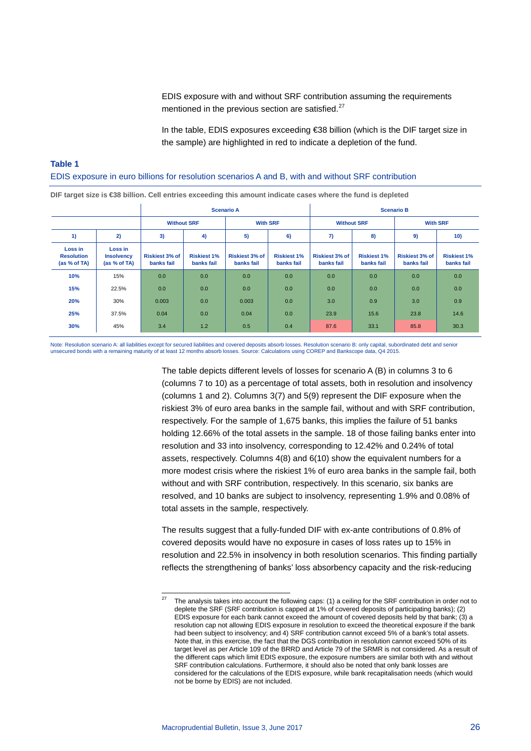EDIS exposure with and without SRF contribution assuming the requirements mentioned in the previous section are satisfied.<sup>[27](#page-25-0)</sup>

In the table, EDIS exposures exceeding €38 billion (which is the DIF target size in the sample) are highlighted in red to indicate a depletion of the fund.

# **Table 1**  EDIS exposure in euro billions for resolution scenarios A and B, with and without SRF contribution

| DIF target size is $\bigcircledast 38$ billion. Cell entries exceeding this amount indicate cases where the fund is depleted |                                              |                                     |                                  |                                     |                                  |                                     |                                  |                                     |                                  |  |
|------------------------------------------------------------------------------------------------------------------------------|----------------------------------------------|-------------------------------------|----------------------------------|-------------------------------------|----------------------------------|-------------------------------------|----------------------------------|-------------------------------------|----------------------------------|--|
| <b>Scenario A</b>                                                                                                            |                                              |                                     |                                  |                                     | <b>Scenario B</b>                |                                     |                                  |                                     |                                  |  |
|                                                                                                                              |                                              | <b>Without SRF</b>                  |                                  | <b>With SRF</b>                     |                                  | <b>Without SRF</b>                  |                                  | <b>With SRF</b>                     |                                  |  |
| 1)                                                                                                                           | 2)                                           | 3)                                  | 4)                               | 5)                                  | 6)                               | 7)                                  | 8)                               | 9)                                  | 10)                              |  |
| Loss in<br><b>Resolution</b><br>(as % of TA)                                                                                 | Loss in<br><b>Insolvency</b><br>(as % of TA) | <b>Riskiest 3% of</b><br>banks fail | <b>Riskiest 1%</b><br>banks fail | <b>Riskiest 3% of</b><br>banks fail | <b>Riskiest 1%</b><br>banks fail | <b>Riskiest 3% of</b><br>banks fail | <b>Riskiest 1%</b><br>banks fail | <b>Riskiest 3% of</b><br>banks fail | <b>Riskiest 1%</b><br>banks fail |  |
| 10%                                                                                                                          | 15%                                          | 0.0                                 | 0.0                              | 0.0                                 | 0.0                              | 0.0                                 | 0.0                              | 0.0                                 | 0.0                              |  |
| 15%                                                                                                                          | 22.5%                                        | 0.0                                 | 0.0                              | 0.0                                 | 0.0                              | 0.0                                 | 0.0                              | 0.0                                 | 0.0                              |  |
| 20%                                                                                                                          | 30%                                          | 0.003                               | 0.0                              | 0.003                               | 0.0                              | 3.0                                 | 0.9                              | 3.0                                 | 0.9                              |  |
| 25%                                                                                                                          | 37.5%                                        | 0.04                                | 0.0                              | 0.04                                | 0.0                              | 23.9                                | 15.6                             | 23.8                                | 14.6                             |  |
| 30%                                                                                                                          | 45%                                          | 3.4                                 | 1.2                              | 0.5                                 | 0.4                              | 87.6                                | 33.1                             | 85.8                                | 30.3                             |  |

Note: Resolution scenario A: all liabilities except for secured liabilities and covered deposits absorb losses. Resolution scenario B: only capital, subordinated debt and senior<br>unsecured bonds with a remaining maturity of

The table depicts different levels of losses for scenario A (B) in columns 3 to 6 (columns 7 to 10) as a percentage of total assets, both in resolution and insolvency (columns 1 and 2). Columns 3(7) and 5(9) represent the DIF exposure when the riskiest 3% of euro area banks in the sample fail, without and with SRF contribution, respectively. For the sample of 1,675 banks, this implies the failure of 51 banks holding 12.66% of the total assets in the sample. 18 of those failing banks enter into resolution and 33 into insolvency, corresponding to 12.42% and 0.24% of total assets, respectively. Columns 4(8) and 6(10) show the equivalent numbers for a more modest crisis where the riskiest 1% of euro area banks in the sample fail, both without and with SRF contribution, respectively. In this scenario, six banks are resolved, and 10 banks are subject to insolvency, representing 1.9% and 0.08% of total assets in the sample, respectively.

The results suggest that a fully-funded DIF with ex-ante contributions of 0.8% of covered deposits would have no exposure in cases of loss rates up to 15% in resolution and 22.5% in insolvency in both resolution scenarios. This finding partially reflects the strengthening of banks' loss absorbency capacity and the risk-reducing

<span id="page-25-0"></span> <sup>27</sup> The analysis takes into account the following caps: (1) a ceiling for the SRF contribution in order not to deplete the SRF (SRF contribution is capped at 1% of covered deposits of participating banks); (2) EDIS exposure for each bank cannot exceed the amount of covered deposits held by that bank; (3) a resolution cap not allowing EDIS exposure in resolution to exceed the theoretical exposure if the bank had been subject to insolvency; and 4) SRF contribution cannot exceed 5% of a bank's total assets. Note that, in this exercise, the fact that the DGS contribution in resolution cannot exceed 50% of its target level as per Article 109 of the BRRD and Article 79 of the SRMR is not considered. As a result of the different caps which limit EDIS exposure, the exposure numbers are similar both with and without SRF contribution calculations. Furthermore, it should also be noted that only bank losses are considered for the calculations of the EDIS exposure, while bank recapitalisation needs (which would not be borne by EDIS) are not included.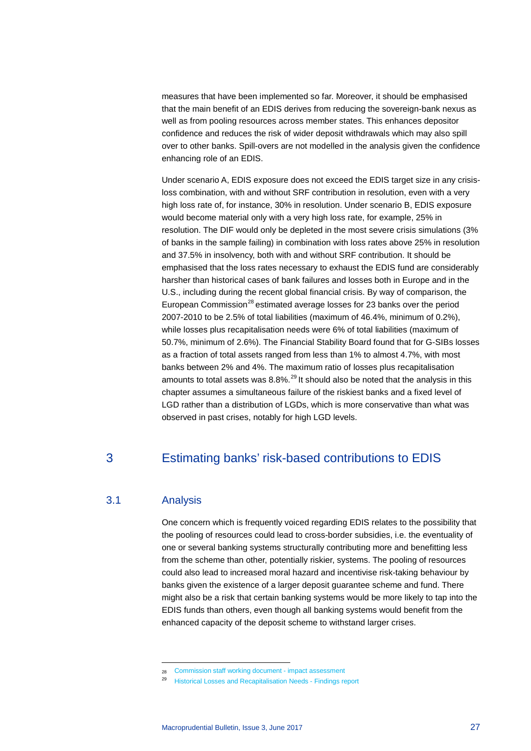measures that have been implemented so far. Moreover, it should be emphasised that the main benefit of an EDIS derives from reducing the sovereign-bank nexus as well as from pooling resources across member states. This enhances depositor confidence and reduces the risk of wider deposit withdrawals which may also spill over to other banks. Spill-overs are not modelled in the analysis given the confidence enhancing role of an EDIS.

Under scenario A, EDIS exposure does not exceed the EDIS target size in any crisisloss combination, with and without SRF contribution in resolution, even with a very high loss rate of, for instance, 30% in resolution. Under scenario B, EDIS exposure would become material only with a very high loss rate, for example, 25% in resolution. The DIF would only be depleted in the most severe crisis simulations (3% of banks in the sample failing) in combination with loss rates above 25% in resolution and 37.5% in insolvency, both with and without SRF contribution. It should be emphasised that the loss rates necessary to exhaust the EDIS fund are considerably harsher than historical cases of bank failures and losses both in Europe and in the U.S., including during the recent global financial crisis. By way of comparison, the European Commission<sup>[28](#page-26-0)</sup> estimated average losses for 23 banks over the period 2007-2010 to be 2.5% of total liabilities (maximum of 46.4%, minimum of 0.2%), while losses plus recapitalisation needs were 6% of total liabilities (maximum of 50.7%, minimum of 2.6%). The Financial Stability Board found that for G-SIBs losses as a fraction of total assets ranged from less than 1% to almost 4.7%, with most banks between 2% and 4%. The maximum ratio of losses plus recapitalisation amounts to total assets was  $8.8\%$ <sup>[29](#page-26-1)</sup> It should also be noted that the analysis in this chapter assumes a simultaneous failure of the riskiest banks and a fixed level of LGD rather than a distribution of LGDs, which is more conservative than what was observed in past crises, notably for high LGD levels.

# 3 Estimating banks' risk-based contributions to EDIS

# 3.1 Analysis

-

One concern which is frequently voiced regarding EDIS relates to the possibility that the pooling of resources could lead to cross-border subsidies, i.e. the eventuality of one or several banking systems structurally contributing more and benefitting less from the scheme than other, potentially riskier, systems. The pooling of resources could also lead to increased moral hazard and incentivise risk-taking behaviour by banks given the existence of a larger deposit guarantee scheme and fund. There might also be a risk that certain banking systems would be more likely to tap into the EDIS funds than others, even though all banking systems would benefit from the enhanced capacity of the deposit scheme to withstand larger crises.

<sup>28</sup> [Commission staff working document -](http://ec.europa.eu/internal_market/bank/docs/crisis-management/2012_eu_framework/impact_assessment_final_en.pdf) impact assessment

<span id="page-26-1"></span><span id="page-26-0"></span><sup>29</sup> [Historical Losses and Recapitalisation Needs -](http://www.fsb.org/wp-content/uploads/Historical-Losses-and-Recapitalisation-Needs-findings-report.pdf) Findings report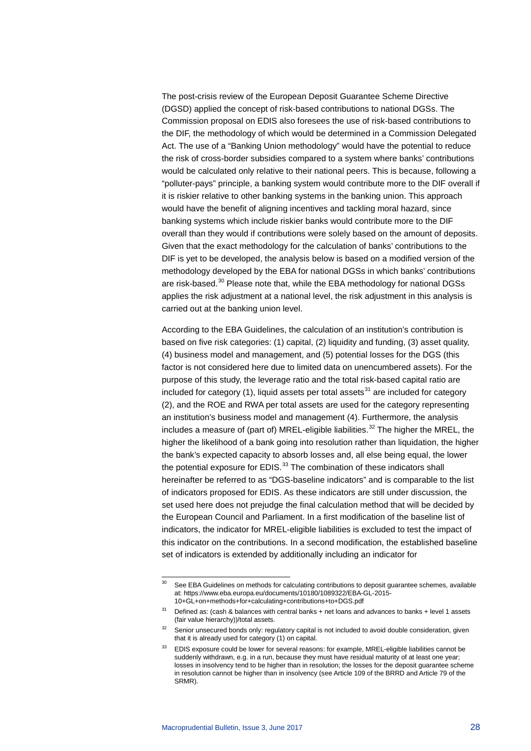The post-crisis review of the European Deposit Guarantee Scheme Directive (DGSD) applied the concept of risk-based contributions to national DGSs. The Commission proposal on EDIS also foresees the use of risk-based contributions to the DIF, the methodology of which would be determined in a Commission Delegated Act. The use of a "Banking Union methodology" would have the potential to reduce the risk of cross-border subsidies compared to a system where banks' contributions would be calculated only relative to their national peers. This is because, following a "polluter-pays" principle, a banking system would contribute more to the DIF overall if it is riskier relative to other banking systems in the banking union. This approach would have the benefit of aligning incentives and tackling moral hazard, since banking systems which include riskier banks would contribute more to the DIF overall than they would if contributions were solely based on the amount of deposits. Given that the exact methodology for the calculation of banks' contributions to the DIF is yet to be developed, the analysis below is based on a modified version of the methodology developed by the EBA for national DGSs in which banks' contributions are risk-based.<sup>[30](#page-27-0)</sup> Please note that, while the EBA methodology for national DGSs applies the risk adjustment at a national level, the risk adjustment in this analysis is carried out at the banking union level.

According to the EBA Guidelines, the calculation of an institution's contribution is based on five risk categories: (1) capital, (2) liquidity and funding, (3) asset quality, (4) business model and management, and (5) potential losses for the DGS (this factor is not considered here due to limited data on unencumbered assets). For the purpose of this study, the leverage ratio and the total risk-based capital ratio are included for category (1), liquid assets per total assets<sup>[31](#page-27-1)</sup> are included for category (2), and the ROE and RWA per total assets are used for the category representing an institution's business model and management (4). Furthermore, the analysis includes a measure of (part of) MREL-eligible liabilities.<sup>[32](#page-27-2)</sup> The higher the MREL, the higher the likelihood of a bank going into resolution rather than liquidation, the higher the bank's expected capacity to absorb losses and, all else being equal, the lower the potential exposure for  $EDIS$ .<sup>[33](#page-27-3)</sup> The combination of these indicators shall hereinafter be referred to as "DGS-baseline indicators" and is comparable to the list of indicators proposed for EDIS. As these indicators are still under discussion, the set used here does not prejudge the final calculation method that will be decided by the European Council and Parliament. In a first modification of the baseline list of indicators, the indicator for MREL-eligible liabilities is excluded to test the impact of this indicator on the contributions. In a second modification, the established baseline set of indicators is extended by additionally including an indicator for

<span id="page-27-0"></span><sup>&</sup>lt;sup>30</sup> See EBA Guidelines on methods for calculating contributions to deposit guarantee schemes, available at: [https://www.eba.europa.eu/documents/10180/1089322/EBA-GL-2015-](https://www.eba.europa.eu/documents/10180/1089322/EBA-GL-2015-10+GL+on+methods+for+calculating+contributions+to+DGS.pdf) [10+GL+on+methods+for+calculating+contributions+to+DGS.pdf](https://www.eba.europa.eu/documents/10180/1089322/EBA-GL-2015-10+GL+on+methods+for+calculating+contributions+to+DGS.pdf)

<span id="page-27-1"></span> $31$  Defined as: (cash & balances with central banks + net loans and advances to banks + level 1 assets (fair value hierarchy))/total assets.

<span id="page-27-3"></span><span id="page-27-2"></span><sup>&</sup>lt;sup>32</sup> Senior unsecured bonds only: regulatory capital is not included to avoid double consideration, given that it is already used for category (1) on capital.

EDIS exposure could be lower for several reasons: for example, MREL-eligible liabilities cannot be suddenly withdrawn, e.g. in a run, because they must have residual maturity of at least one year; losses in insolvency tend to be higher than in resolution; the losses for the deposit guarantee scheme in resolution cannot be higher than in insolvency (see Article 109 of the BRRD and Article 79 of the SRMR).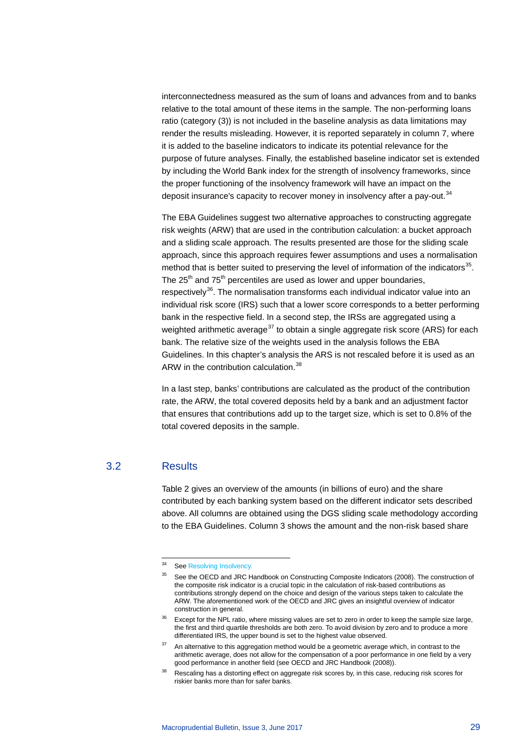interconnectedness measured as the sum of loans and advances from and to banks relative to the total amount of these items in the sample. The non-performing loans ratio (category (3)) is not included in the baseline analysis as data limitations may render the results misleading. However, it is reported separately in column 7, where it is added to the baseline indicators to indicate its potential relevance for the purpose of future analyses. Finally, the established baseline indicator set is extended by including the World Bank index for the strength of insolvency frameworks, since the proper functioning of the insolvency framework will have an impact on the deposit insurance's capacity to recover money in insolvency after a pay-out.<sup>34</sup>

The EBA Guidelines suggest two alternative approaches to constructing aggregate risk weights (ARW) that are used in the contribution calculation: a bucket approach and a sliding scale approach. The results presented are those for the sliding scale approach, since this approach requires fewer assumptions and uses a normalisation method that is better suited to preserving the level of information of the indicators $35$ . The  $25<sup>th</sup>$  and  $75<sup>th</sup>$  percentiles are used as lower and upper boundaries, respectively<sup>36</sup>. The normalisation transforms each individual indicator value into an individual risk score (IRS) such that a lower score corresponds to a better performing bank in the respective field. In a second step, the IRSs are aggregated using a weighted arithmetic average<sup>[37](#page-28-3)</sup> to obtain a single aggregate risk score (ARS) for each bank. The relative size of the weights used in the analysis follows the EBA Guidelines. In this chapter's analysis the ARS is not rescaled before it is used as an ARW in the contribution calculation.<sup>[38](#page-28-4)</sup>

In a last step, banks' contributions are calculated as the product of the contribution rate, the ARW, the total covered deposits held by a bank and an adjustment factor that ensures that contributions add up to the target size, which is set to 0.8% of the total covered deposits in the sample.

# <span id="page-28-1"></span><span id="page-28-0"></span>3.2 Results

Table 2 gives an overview of the amounts (in billions of euro) and the share contributed by each banking system based on the different indicator sets described above. All columns are obtained using the DGS sliding scale methodology according to the EBA Guidelines. Column 3 shows the amount and the non-risk based share

<sup>&</sup>lt;sup>34</sup> Se[e Resolving Insolvency.](http://www.doingbusiness.org/data/exploretopics/resolving-insolvency)

<sup>&</sup>lt;sup>35</sup> See the OECD and JRC Handbook on Constructing Composite Indicators (2008). The construction of the composite risk indicator is a crucial topic in the calculation of risk-based contributions as contributions strongly depend on the choice and design of the various steps taken to calculate the ARW. The aforementioned work of the OECD and JRC gives an insightful overview of indicator construction in general.

<span id="page-28-2"></span><sup>&</sup>lt;sup>36</sup> Except for the NPL ratio, where missing values are set to zero in order to keep the sample size large, the first and third quartile thresholds are both zero. To avoid division by zero and to produce a more differentiated IRS, the upper bound is set to the highest value observed.

<span id="page-28-3"></span>An alternative to this aggregation method would be a geometric average which, in contrast to the arithmetic average, does not allow for the compensation of a poor performance in one field by a very good performance in another field (see OECD and JRC Handbook (2008)).

<span id="page-28-4"></span>Rescaling has a distorting effect on aggregate risk scores by, in this case, reducing risk scores for riskier banks more than for safer banks.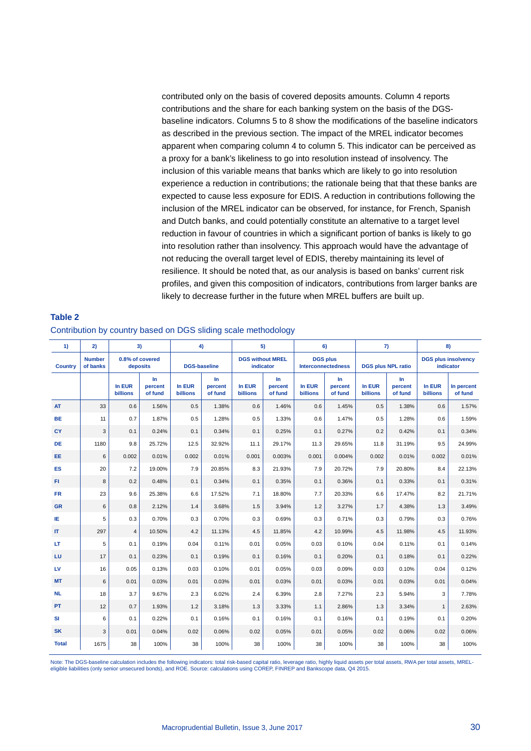contributed only on the basis of covered deposits amounts. Column 4 reports contributions and the share for each banking system on the basis of the DGSbaseline indicators. Columns 5 to 8 show the modifications of the baseline indicators as described in the previous section. The impact of the MREL indicator becomes apparent when comparing column 4 to column 5. This indicator can be perceived as a proxy for a bank's likeliness to go into resolution instead of insolvency. The inclusion of this variable means that banks which are likely to go into resolution experience a reduction in contributions; the rationale being that that these banks are expected to cause less exposure for EDIS. A reduction in contributions following the inclusion of the MREL indicator can be observed, for instance, for French, Spanish and Dutch banks, and could potentially constitute an alternative to a target level reduction in favour of countries in which a significant portion of banks is likely to go into resolution rather than insolvency. This approach would have the advantage of not reducing the overall target level of EDIS, thereby maintaining its level of resilience. It should be noted that, as our analysis is based on banks' current risk profiles, and given this composition of indicators, contributions from larger banks are likely to decrease further in the future when MREL buffers are built up.

| 1)             | 2)                        | 3)                          |                          |                           | 4)<br>5)                  |                           |                                                                                                                   | 6)                        |                                         | 7)                        |                           | 8)                        |                       |
|----------------|---------------------------|-----------------------------|--------------------------|---------------------------|---------------------------|---------------------------|-------------------------------------------------------------------------------------------------------------------|---------------------------|-----------------------------------------|---------------------------|---------------------------|---------------------------|-----------------------|
| <b>Country</b> | <b>Number</b><br>of banks | 0.8% of covered<br>deposits |                          |                           | <b>DGS-baseline</b>       |                           | <b>DGS without MREL</b><br><b>DGS plus</b><br><b>DGS plus NPL ratio</b><br><b>indicator</b><br>Interconnectedness |                           | <b>DGS plus insolvency</b><br>indicator |                           |                           |                           |                       |
|                |                           | In EUR<br><b>billions</b>   | In<br>percent<br>of fund | In EUR<br><b>billions</b> | In.<br>percent<br>of fund | In EUR<br><b>billions</b> | In.<br>percent<br>of fund                                                                                         | In EUR<br><b>billions</b> | $\ln$<br>percent<br>of fund             | In EUR<br><b>billions</b> | In.<br>percent<br>of fund | In EUR<br><b>billions</b> | In percent<br>of fund |
| <b>AT</b>      | 33                        | 0.6                         | 1.56%                    | 0.5                       | 1.38%                     | 0.6                       | 1.46%                                                                                                             | 0.6                       | 1.45%                                   | 0.5                       | 1.38%                     | 0.6                       | 1.57%                 |
| <b>BE</b>      | 11                        | 0.7                         | 1.87%                    | 0.5                       | 1.28%                     | 0.5                       | 1.33%                                                                                                             | 0.6                       | 1.47%                                   | 0.5                       | 1.28%                     | 0.6                       | 1.59%                 |
| CY             | 3                         | 0.1                         | 0.24%                    | 0.1                       | 0.34%                     | 0.1                       | 0.25%                                                                                                             | 0.1                       | 0.27%                                   | 0.2                       | 0.42%                     | 0.1                       | 0.34%                 |
| DE             | 1180                      | 9.8                         | 25.72%                   | 12.5                      | 32.92%                    | 11.1                      | 29.17%                                                                                                            | 11.3                      | 29.65%                                  | 11.8                      | 31.19%                    | 9.5                       | 24.99%                |
| EE             | 6                         | 0.002                       | 0.01%                    | 0.002                     | 0.01%                     | 0.001                     | 0.003%                                                                                                            | 0.001                     | 0.004%                                  | 0.002                     | 0.01%                     | 0.002                     | 0.01%                 |
| <b>ES</b>      | 20                        | 7.2                         | 19.00%                   | 7.9                       | 20.85%                    | 8.3                       | 21.93%                                                                                                            | 7.9                       | 20.72%                                  | 7.9                       | 20.80%                    | 8.4                       | 22.13%                |
| FL.            | 8                         | 0.2                         | 0.48%                    | 0.1                       | 0.34%                     | 0.1                       | 0.35%                                                                                                             | 0.1                       | 0.36%                                   | 0.1                       | 0.33%                     | 0.1                       | 0.31%                 |
| <b>FR</b>      | 23                        | 9.6                         | 25.38%                   | 6.6                       | 17.52%                    | 7.1                       | 18.80%                                                                                                            | 7.7                       | 20.33%                                  | 6.6                       | 17.47%                    | 8.2                       | 21.71%                |
| <b>GR</b>      | $6\phantom{1}$            | 0.8                         | 2.12%                    | 1.4                       | 3.68%                     | 1.5                       | 3.94%                                                                                                             | 1.2                       | 3.27%                                   | 1.7                       | 4.38%                     | 1.3                       | 3.49%                 |
| IE.            | 5                         | 0.3                         | 0.70%                    | 0.3                       | 0.70%                     | 0.3                       | 0.69%                                                                                                             | 0.3                       | 0.71%                                   | 0.3                       | 0.79%                     | 0.3                       | 0.76%                 |
| IT.            | 297                       | $\overline{4}$              | 10.50%                   | 4.2                       | 11.13%                    | 4.5                       | 11.85%                                                                                                            | 4.2                       | 10.99%                                  | 4.5                       | 11.98%                    | 4.5                       | 11.93%                |
| LT.            | 5                         | 0.1                         | 0.19%                    | 0.04                      | 0.11%                     | 0.01                      | 0.05%                                                                                                             | 0.03                      | 0.10%                                   | 0.04                      | 0.11%                     | 0.1                       | 0.14%                 |
| LU             | 17                        | 0.1                         | 0.23%                    | 0.1                       | 0.19%                     | 0.1                       | 0.16%                                                                                                             | 0.1                       | 0.20%                                   | 0.1                       | 0.18%                     | 0.1                       | 0.22%                 |
| LV             | 16                        | 0.05                        | 0.13%                    | 0.03                      | 0.10%                     | 0.01                      | 0.05%                                                                                                             | 0.03                      | 0.09%                                   | 0.03                      | 0.10%                     | 0.04                      | 0.12%                 |
| <b>MT</b>      | $\,6$                     | 0.01                        | 0.03%                    | 0.01                      | 0.03%                     | 0.01                      | 0.03%                                                                                                             | 0.01                      | 0.03%                                   | 0.01                      | 0.03%                     | 0.01                      | 0.04%                 |
| <b>NL</b>      | 18                        | 3.7                         | 9.67%                    | 2.3                       | 6.02%                     | 2.4                       | 6.39%                                                                                                             | 2.8                       | 7.27%                                   | 2.3                       | 5.94%                     | 3                         | 7.78%                 |
| PT             | 12                        | 0.7                         | 1.93%                    | 1.2                       | 3.18%                     | 1.3                       | 3.33%                                                                                                             | 1.1                       | 2.86%                                   | 1.3                       | 3.34%                     | $\mathbf{1}$              | 2.63%                 |
| <b>SI</b>      | 6                         | 0.1                         | 0.22%                    | 0.1                       | 0.16%                     | 0.1                       | 0.16%                                                                                                             | 0.1                       | 0.16%                                   | 0.1                       | 0.19%                     | 0.1                       | 0.20%                 |
| <b>SK</b>      | 3                         | 0.01                        | 0.04%                    | 0.02                      | 0.06%                     | 0.02                      | 0.05%                                                                                                             | 0.01                      | 0.05%                                   | 0.02                      | 0.06%                     | 0.02                      | 0.06%                 |
| <b>Total</b>   | 1675                      | 38                          | 100%                     | 38                        | 100%                      | 38                        | 100%                                                                                                              | 38                        | 100%                                    | 38                        | 100%                      | 38                        | 100%                  |

# **Table 2** Contribution by country based on DGS sliding scale methodology

Note: The DGS-baseline calculation includes the following indicators: total risk-based capital ratio, leverage ratio, highly liquid assets per total assets, RWA per total assets, MRELeligible liabilities (only senior unsecured bonds), and ROE. Source: calculations using COREP, FINREP and Bankscope data, Q4 2015.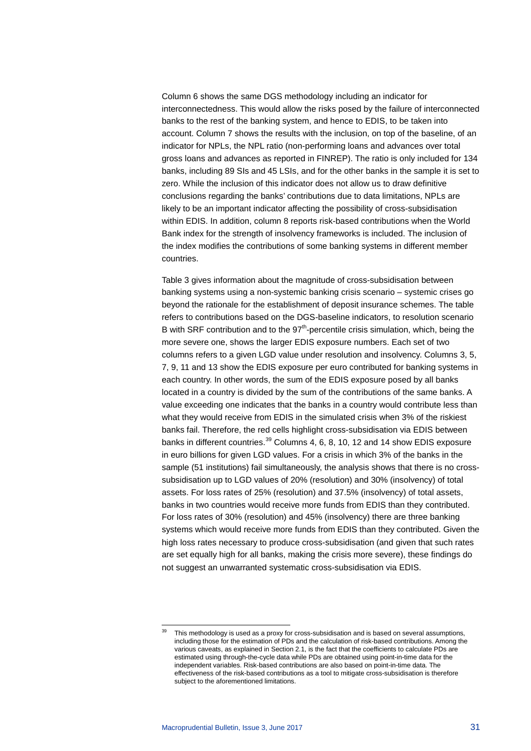Column 6 shows the same DGS methodology including an indicator for interconnectedness. This would allow the risks posed by the failure of interconnected banks to the rest of the banking system, and hence to EDIS, to be taken into account. Column 7 shows the results with the inclusion, on top of the baseline, of an indicator for NPLs, the NPL ratio (non-performing loans and advances over total gross loans and advances as reported in FINREP). The ratio is only included for 134 banks, including 89 SIs and 45 LSIs, and for the other banks in the sample it is set to zero. While the inclusion of this indicator does not allow us to draw definitive conclusions regarding the banks' contributions due to data limitations, NPLs are likely to be an important indicator affecting the possibility of cross-subsidisation within EDIS. In addition, column 8 reports risk-based contributions when the World Bank index for the strength of insolvency frameworks is included. The inclusion of the index modifies the contributions of some banking systems in different member countries.

Table 3 gives information about the magnitude of cross-subsidisation between banking systems using a non-systemic banking crisis scenario – systemic crises go beyond the rationale for the establishment of deposit insurance schemes. The table refers to contributions based on the DGS-baseline indicators, to resolution scenario B with SRF contribution and to the  $97<sup>th</sup>$ -percentile crisis simulation, which, being the more severe one, shows the larger EDIS exposure numbers. Each set of two columns refers to a given LGD value under resolution and insolvency. Columns 3, 5, 7, 9, 11 and 13 show the EDIS exposure per euro contributed for banking systems in each country. In other words, the sum of the EDIS exposure posed by all banks located in a country is divided by the sum of the contributions of the same banks. A value exceeding one indicates that the banks in a country would contribute less than what they would receive from EDIS in the simulated crisis when 3% of the riskiest banks fail. Therefore, the red cells highlight cross-subsidisation via EDIS between banks in different countries.<sup>[39](#page-30-0)</sup> Columns 4, 6, 8, 10, 12 and 14 show EDIS exposure in euro billions for given LGD values. For a crisis in which 3% of the banks in the sample (51 institutions) fail simultaneously, the analysis shows that there is no crosssubsidisation up to LGD values of 20% (resolution) and 30% (insolvency) of total assets. For loss rates of 25% (resolution) and 37.5% (insolvency) of total assets, banks in two countries would receive more funds from EDIS than they contributed. For loss rates of 30% (resolution) and 45% (insolvency) there are three banking systems which would receive more funds from EDIS than they contributed. Given the high loss rates necessary to produce cross-subsidisation (and given that such rates are set equally high for all banks, making the crisis more severe), these findings do not suggest an unwarranted systematic cross-subsidisation via EDIS.

<span id="page-30-0"></span>This methodology is used as a proxy for cross-subsidisation and is based on several assumptions, including those for the estimation of PDs and the calculation of risk-based contributions. Among the various caveats, as explained in Section 2.1, is the fact that the coefficients to calculate PDs are estimated using through-the-cycle data while PDs are obtained using point-in-time data for the independent variables. Risk-based contributions are also based on point-in-time data. The effectiveness of the risk-based contributions as a tool to mitigate cross-subsidisation is therefore subject to the aforementioned limitations.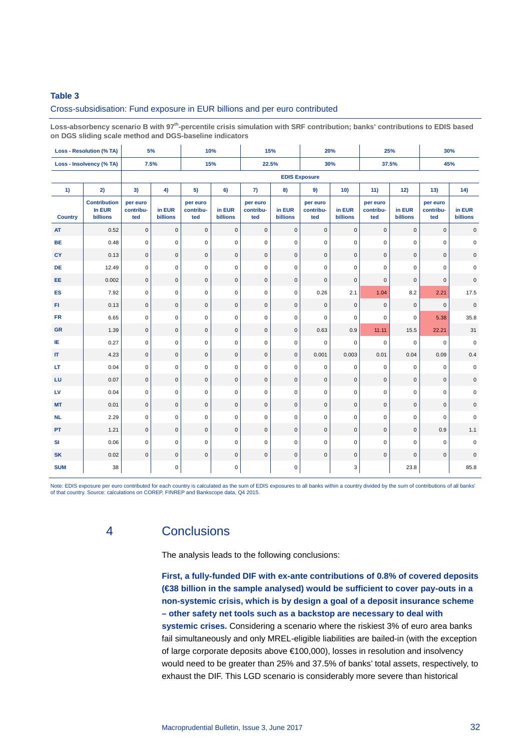# **Table 3**

### Cross-subsidisation: Fund exposure in EUR billions and per euro contributed

**Loss-absorbency scenario B with 97th-percentile crisis simulation with SRF contribution; banks' contributions to EDIS based on DGS sliding scale method and DGS-baseline indicators**

|                                   | <b>Loss - Resolution (% TA)</b>                  | 5%                           |                           | 10%                          |                           | 15%                          |                     | 20%                          |                           | 25%                          |                    | 30%                          |                           |
|-----------------------------------|--------------------------------------------------|------------------------------|---------------------------|------------------------------|---------------------------|------------------------------|---------------------|------------------------------|---------------------------|------------------------------|--------------------|------------------------------|---------------------------|
|                                   | Loss - Insolvency (% TA)                         | 7.5%                         |                           | 15%                          |                           | 22.5%                        |                     |                              | 30%                       |                              | 37.5%<br>45%       |                              |                           |
|                                   |                                                  |                              |                           |                              |                           |                              |                     | <b>EDIS Exposure</b>         |                           |                              |                    |                              |                           |
| 1)                                | 2)                                               | 3)                           | 4)                        | 5)                           | 6)                        | 7)                           | 8)                  | 9)                           | 10)                       | 11)                          | 12)                | 13)                          | 14)                       |
| <b>Country</b>                    | <b>Contribution</b><br>In EUR<br><b>billions</b> | per euro<br>contribu-<br>ted | in EUR<br><b>billions</b> | per euro<br>contribu-<br>ted | in EUR<br><b>billions</b> | per euro<br>contribu-<br>ted | in EUR<br>billions  | per euro<br>contribu-<br>ted | in EUR<br><b>billions</b> | per euro<br>contribu-<br>ted | in EUR<br>billions | per euro<br>contribu-<br>ted | in EUR<br><b>billions</b> |
| AT                                | 0.52                                             | $\mathbf 0$                  | $\mathsf 0$               | $\mathsf 0$                  | $\mathsf{O}\xspace$       | $\mathbf 0$                  | $\mathsf 0$         | $\mathsf 0$                  | 0                         | $\mathbf 0$                  | $\mathbf 0$        | $\pmb{0}$                    | $\mathsf 0$               |
| <b>BE</b>                         | 0.48                                             | $\mathbf 0$                  | $\mathbf 0$               | 0                            | 0                         | $\mathbf 0$                  | $\mathbf 0$         | $\mathbf 0$                  | 0                         | 0                            | $\mathbf 0$        | $\mathbf 0$                  | 0                         |
| CY                                | 0.13                                             | $\mathbf 0$                  | $\mathbf{0}$              | $\mathbf{0}$                 | $\mathbf{0}$              | $\Omega$                     | $\mathbf{0}$        | $\mathbf{0}$                 | $\mathbf{0}$              | $\mathbf{0}$                 | $\Omega$           | $\Omega$                     | $\mathbf 0$               |
| DE                                | 12.49                                            | $\mathbf 0$                  | $\mathbf 0$               | $\mathbf 0$                  | $\mathbf 0$               | $\mathbf 0$                  | $\mathbf 0$         | $\mathbf 0$                  | $\mathbf 0$               | $\mathbf 0$                  | $\mathbf 0$        | $\mathbf 0$                  | $\pmb{0}$                 |
| EE                                | 0.002                                            | $\mathbf 0$                  | $\mathbf 0$               | $\mathbf 0$                  | $\mathbf 0$               | $\pmb{0}$                    | $\mathsf{O}\xspace$ | $\mathbf{0}$                 | $\pmb{0}$                 | 0                            | $\pmb{0}$          | $\pmb{0}$                    | $\mathbf 0$               |
| ES                                | 7.92                                             | $\mathbf 0$                  | $\mathbf 0$               | $\mathbf 0$                  | 0                         | $\mathbf 0$                  | $\mathbf 0$         | 0.26                         | 2.1                       | 1.04                         | 8.2                | 2.21                         | 17.5                      |
| FI.                               | 0.13                                             | $\mathsf 0$                  | $\mathbf 0$               | $\mathbf 0$                  | $\pmb{0}$                 | $\pmb{0}$                    | $\mathsf{O}\xspace$ | $\mathbf{0}$                 | 0                         | $\mathbf 0$                  | $\mathbf 0$        | $\mathbf 0$                  | $\mathsf 0$               |
| <b>FR</b>                         | 6.65                                             | $\mathbf 0$                  | $\mathbf 0$               | $\mathbf 0$                  | 0                         | $\mathbf 0$                  | $\mathbf 0$         | $\Omega$                     | $\mathbf 0$               | $\Omega$                     | $\mathbf 0$        | 5.38                         | 35.8                      |
| <b>GR</b>                         | 1.39                                             | $\pmb{0}$                    | 0                         | $\mathsf 0$                  | $\mathbf 0$               | $\mathbf{0}$                 | $\mathsf{O}\xspace$ | 0.63                         | 0.9                       | 11.11                        | 15.5               | 22.21                        | 31                        |
| IE                                | 0.27                                             | $\mathbf 0$                  | $\mathsf 0$               | 0                            | 0                         | $\mathbf 0$                  | $\mathbf 0$         | $\mathbf 0$                  | 0                         | 0                            | $\mathbf 0$        | $\mathbf 0$                  | $\mathbf 0$               |
| $\ensuremath{\mathsf{IT}}\xspace$ | 4.23                                             | $\mathbf 0$                  | $\pmb{0}$                 | $\mathsf 0$                  | $\pmb{0}$                 | $\pmb{0}$                    | $\mathsf{O}\xspace$ | 0.001                        | 0.003                     | 0.01                         | 0.04               | 0.09                         | 0.4                       |
| LT                                | 0.04                                             | $\Omega$                     | $\mathbf 0$               | $\mathbf 0$                  | 0                         | $\mathbf 0$                  | $\mathbf 0$         | $\Omega$                     | 0                         | 0                            | $\mathbf 0$        | $\mathbf 0$                  | $\mathbf 0$               |
| LU                                | 0.07                                             | $\mathbf 0$                  | $\mathbf{0}$              | $\mathbf{0}$                 | $\mathbf 0$               | $\mathbf 0$                  | $\mathbf{0}$        | $\mathbf{0}$                 | $\mathbf{0}$              | $\pmb{0}$                    | $\mathbf 0$        | $\mathbf{0}$                 | $\mathsf{O}\xspace$       |
| LV                                | 0.04                                             | $\pmb{0}$                    | 0                         | 0                            | 0                         | 0                            | $\mathsf 0$         | $\mathbf 0$                  | 0                         | $\pmb{0}$                    | $\mathbf 0$        | $\mathbf 0$                  | 0                         |
| <b>MT</b>                         | 0.01                                             | $\mathbf 0$                  | $\pmb{0}$                 | $\mathbf 0$                  | $\mathbf 0$               | $\mathbf 0$                  | $\mathbf{0}$        | $\mathbf{0}$                 | $\mathbf 0$               | $\pmb{0}$                    | $\mathbf{0}$       | $\mathbf{0}$                 | $\pmb{0}$                 |
| <b>NL</b>                         | 2.29                                             | $\mathbf 0$                  | $\mathbf 0$               | $\mathsf 0$                  | 0                         | $\mathbf 0$                  | $\mathbf 0$         | $\mathbf 0$                  | 0                         | 0                            | $\mathbf 0$        | $\mathbf 0$                  | $\pmb{0}$                 |
| <b>PT</b>                         | 1.21                                             | $\mathbf 0$                  | $\mathsf 0$               | $\mathbf 0$                  | $\mathbf 0$               | $\mathbf 0$                  | $\mathsf 0$         | $\mathbf{0}$                 | $\mathbf{0}$              | $\mathbf 0$                  | $\mathbf 0$        | 0.9                          | 1.1                       |
| SI                                | 0.06                                             | $\mathbf 0$                  | $\mathsf 0$               | $\mathbf 0$                  | 0                         | $\mathbf 0$                  | $\mathbf 0$         | $\mathbf 0$                  | 0                         | 0                            | $\pmb{0}$          | $\mathbf 0$                  | $\pmb{0}$                 |
| <b>SK</b>                         | 0.02                                             | $\mathbf 0$                  | $\mathbf 0$               | $\mathbf 0$                  | $\mathbf 0$               | $\mathbf 0$                  | $\mathsf{O}\xspace$ | $\mathbf{0}$                 | 0                         | 0                            | $\pmb{0}$          | $\mathbf{0}$                 | $\mathbf 0$               |
| <b>SUM</b>                        | 38                                               |                              | 0                         |                              | 0                         |                              | $\mathbf 0$         |                              | 3                         |                              | 23.8               |                              | 85.8                      |

Note: EDIS exposure per euro contributed for each country is calculated as the sum of EDIS exposures to all banks within a country divided by the sum of contributions of all banks'<br>of that country. Source: calculations on

# 4 Conclusions

The analysis leads to the following conclusions:

**First, a fully-funded DIF with ex-ante contributions of 0.8% of covered deposits (€38 billion in the sample analysed) would be sufficient to cover pay-outs in a non-systemic crisis, which is by design a goal of a deposit insurance scheme – other safety net tools such as a backstop are necessary to deal with systemic crises.** Considering a scenario where the riskiest 3% of euro area banks fail simultaneously and only MREL-eligible liabilities are bailed-in (with the exception of large corporate deposits above €100,000), losses in resolution and insolvency would need to be greater than 25% and 37.5% of banks' total assets, respectively, to exhaust the DIF. This LGD scenario is considerably more severe than historical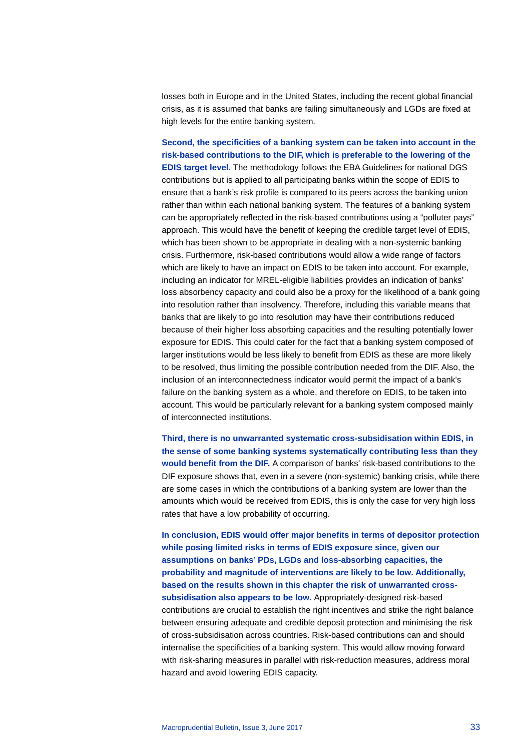losses both in Europe and in the United States, including the recent global financial crisis, as it is assumed that banks are failing simultaneously and LGDs are fixed at high levels for the entire banking system.

**Second, the specificities of a banking system can be taken into account in the risk-based contributions to the DIF, which is preferable to the lowering of the EDIS target level.** The methodology follows the EBA Guidelines for national DGS contributions but is applied to all participating banks within the scope of EDIS to ensure that a bank's risk profile is compared to its peers across the banking union rather than within each national banking system. The features of a banking system can be appropriately reflected in the risk-based contributions using a "polluter pays" approach. This would have the benefit of keeping the credible target level of EDIS, which has been shown to be appropriate in dealing with a non-systemic banking crisis. Furthermore, risk-based contributions would allow a wide range of factors which are likely to have an impact on EDIS to be taken into account. For example, including an indicator for MREL-eligible liabilities provides an indication of banks' loss absorbency capacity and could also be a proxy for the likelihood of a bank going into resolution rather than insolvency. Therefore, including this variable means that banks that are likely to go into resolution may have their contributions reduced because of their higher loss absorbing capacities and the resulting potentially lower exposure for EDIS. This could cater for the fact that a banking system composed of larger institutions would be less likely to benefit from EDIS as these are more likely to be resolved, thus limiting the possible contribution needed from the DIF. Also, the inclusion of an interconnectedness indicator would permit the impact of a bank's failure on the banking system as a whole, and therefore on EDIS, to be taken into account. This would be particularly relevant for a banking system composed mainly of interconnected institutions.

**Third, there is no unwarranted systematic cross-subsidisation within EDIS, in the sense of some banking systems systematically contributing less than they would benefit from the DIF.** A comparison of banks' risk-based contributions to the DIF exposure shows that, even in a severe (non-systemic) banking crisis, while there are some cases in which the contributions of a banking system are lower than the amounts which would be received from EDIS, this is only the case for very high loss rates that have a low probability of occurring.

**In conclusion, EDIS would offer major benefits in terms of depositor protection while posing limited risks in terms of EDIS exposure since, given our assumptions on banks' PDs, LGDs and loss-absorbing capacities, the probability and magnitude of interventions are likely to be low. Additionally, based on the results shown in this chapter the risk of unwarranted crosssubsidisation also appears to be low.** Appropriately-designed risk-based contributions are crucial to establish the right incentives and strike the right balance between ensuring adequate and credible deposit protection and minimising the risk of cross-subsidisation across countries. Risk-based contributions can and should internalise the specificities of a banking system. This would allow moving forward with risk-sharing measures in parallel with risk-reduction measures, address moral hazard and avoid lowering EDIS capacity.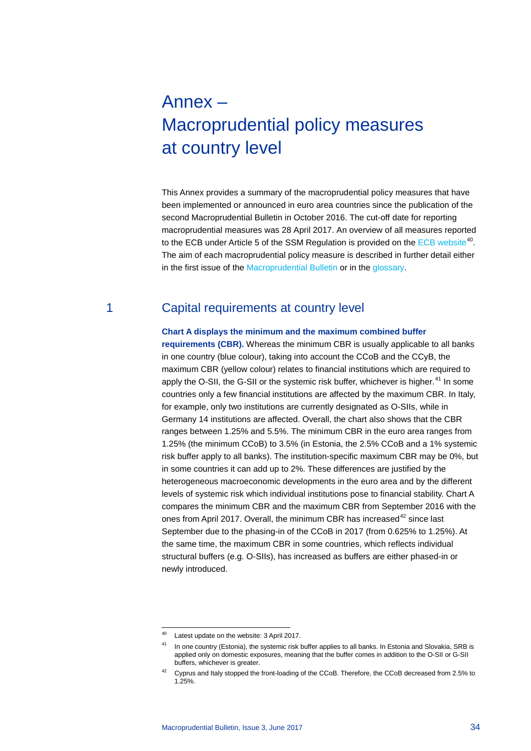# <span id="page-33-0"></span>Annex – Macroprudential policy measures at country level

This Annex provides a summary of the macroprudential policy measures that have been implemented or announced in euro area countries since the publication of the second Macroprudential Bulletin in October 2016. The cut-off date for reporting macroprudential measures was 28 April 2017. An overview of all measures reported to the ECB under Article 5 of the SSM Regulation is provided on the [ECB website](https://www.ecb.europa.eu/pub/fsr/html/measures.en.html)<sup>[40](#page-33-1)</sup>. The aim of each macroprudential policy measure is described in further detail either in the first issue of the [Macroprudential Bulletin](https://www.ecb.europa.eu/pub/pdf/other/ecbmpbu201603.en.pdf) or in the [glossary.](#page-38-0)

# 1 Capital requirements at country level

### **Chart A displays the minimum and the maximum combined buffer**

**requirements (CBR).** Whereas the minimum CBR is usually applicable to all banks in one country (blue colour), taking into account the CCoB and the CCyB, the maximum CBR (yellow colour) relates to financial institutions which are required to apply the O-SII, the G-SII or the systemic risk buffer, whichever is higher.<sup>[41](#page-33-2)</sup> In some countries only a few financial institutions are affected by the maximum CBR. In Italy, for example, only two institutions are currently designated as O-SIIs, while in Germany 14 institutions are affected. Overall, the chart also shows that the CBR ranges between 1.25% and 5.5%. The minimum CBR in the euro area ranges from 1.25% (the minimum CCoB) to 3.5% (in Estonia, the 2.5% CCoB and a 1% systemic risk buffer apply to all banks). The institution-specific maximum CBR may be 0%, but in some countries it can add up to 2%. These differences are justified by the heterogeneous macroeconomic developments in the euro area and by the different levels of systemic risk which individual institutions pose to financial stability. Chart A compares the minimum CBR and the maximum CBR from September 2016 with the ones from April 2017. Overall, the minimum CBR has increased<sup>[42](#page-33-3)</sup> since last September due to the phasing-in of the CCoB in 2017 (from 0.625% to 1.25%). At the same time, the maximum CBR in some countries, which reflects individual structural buffers (e.g. O-SIIs), has increased as buffers are either phased-in or newly introduced.

<span id="page-33-1"></span> <sup>40</sup> Latest update on the website: 3 April 2017.

<span id="page-33-2"></span><sup>&</sup>lt;sup>41</sup> In one country (Estonia), the systemic risk buffer applies to all banks. In Estonia and Slovakia, SRB is applied only on domestic exposures, meaning that the buffer comes in addition to the O-SII or G-SII buffers, whichever is greater.

<span id="page-33-3"></span><sup>&</sup>lt;sup>42</sup> Cyprus and Italy stopped the front-loading of the CCoB. Therefore, the CCoB decreased from 2.5% to 1.25%.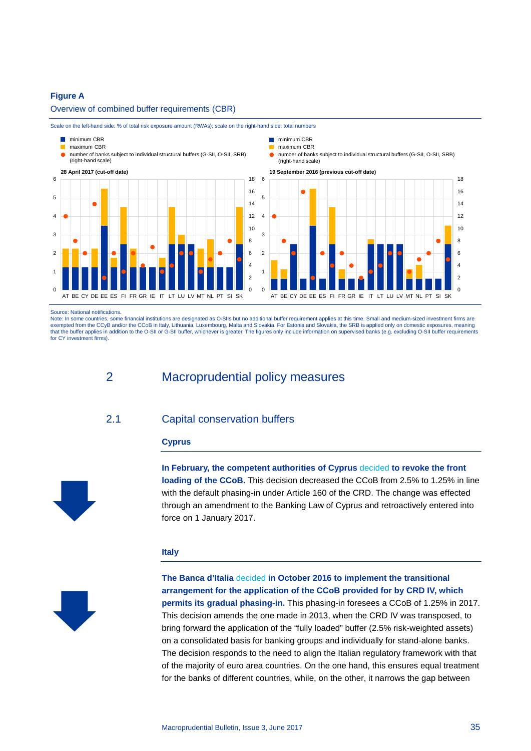## **Figure A**

Overview of combined buffer requirements (CBR)



Scale on the left-hand side: % of total risk exposure amount (RWAs); scale on the right-hand side: total numbers

Source: National notifications.

Note: In some countries, some financial institutions are designated as O-SIIs but no additional buffer requirement applies at this time. Small and medium-sized investment firms are<br>exempted from the CCyB and/or the CCoB in that the buffer applies in addition to the O-SII or G-SII buffer, whichever is greater. The figures only include information on supervised banks (e.g. excluding O-SII buffer requirements for CY investment firms).

2 Macroprudential policy measures

# 2.1 Capital conservation buffers

## **Cyprus**



**In February, the competent authorities of Cyprus** [decided](http://www.cysec.gov.cy/en-GB/legislation/services-markets/Macroprudential-Supervision/CAPITAL-BUFFERS/Capital-Conservation-Buffer-(CCB)/) **to revoke the front loading of the CCoB.** This decision decreased the CCoB from 2.5% to 1.25% in line with the default phasing-in under Article 160 of the CRD. The change was effected through an amendment to the Banking Law of Cyprus and retroactively entered into force on 1 January 2017.

### **Italy**



**The Banca d'Italia** [decided](http://www.bancaditalia.it/compiti/stabilita-finanziaria/politica-macroprudenziale/applicazione-riserva-conserv-capitale/index.html?com.dotmarketing.htmlpage.language=1) **in October 2016 to implement the transitional arrangement for the application of the CCoB provided for by CRD IV, which permits its gradual phasing-in.** This phasing-in foresees a CCoB of 1.25% in 2017. This decision amends the one made in 2013, when the CRD IV was transposed, to bring forward the application of the "fully loaded" buffer (2.5% risk-weighted assets) on a consolidated basis for banking groups and individually for stand-alone banks. The decision responds to the need to align the Italian regulatory framework with that of the majority of euro area countries. On the one hand, this ensures equal treatment for the banks of different countries, while, on the other, it narrows the gap between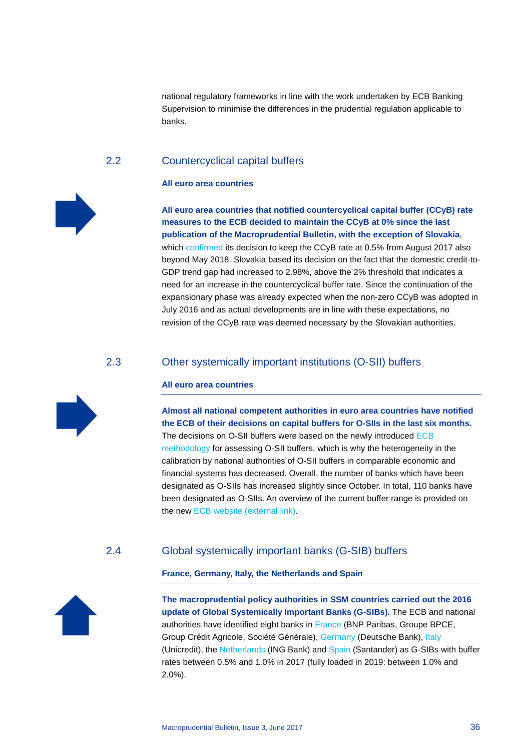national regulatory frameworks in line with the work undertaken by ECB Banking Supervision to minimise the differences in the prudential regulation applicable to banks.

# 2.2 Countercyclical capital buffers

## **All euro area countries**



**All euro area countries that notified countercyclical capital buffer (CCyB) rate measures to the ECB decided to maintain the CCyB at 0% since the last publication of the Macroprudential Bulletin, with the exception of Slovakia**, which [confirmed](http://www.nbs.sk/_img/Documents/_Dohlad/Makropolitika/1-2017.pdf) its decision to keep the CCyB rate at 0.5% from August 2017 also beyond May 2018. Slovakia based its decision on the fact that the domestic credit-to-GDP trend gap had increased to 2.98%, above the 2% threshold that indicates a need for an increase in the countercyclical buffer rate. Since the continuation of the expansionary phase was already expected when the non-zero CCyB was adopted in July 2016 and as actual developments are in line with these expectations, no revision of the CCyB rate was deemed necessary by the Slovakian authorities.

# 2.3 Other systemically important institutions (O-SII) buffers

# **All euro area countries**

**Almost all national competent authorities in euro area countries have notified the ECB of their decisions on capital buffers for O-SIIs in the last six months.** The decisions on O-SII buffers were based on the newly introduced [ECB](#page-3-0)  [methodology](#page-3-0) for assessing O-SII buffers, which is why the heterogeneity in the calibration by national authorities of O-SII buffers in comparable economic and financial systems has decreased. Overall, the number of banks which have been designated as O-SIIs has increased slightly since October. In total, 110 banks have been designated as O-SIIs. An overview of the current buffer range is provided on the new [ECB website \(external link\).](https://www.ecb.europa.eu/pub/fsr/html/measures.en.html)

# 2.4 Global systemically important banks (G-SIB) buffers

# **France, Germany, Italy, the Netherlands and Spain**



**The macroprudential policy authorities in SSM countries carried out the 2016 update of Global Systemically Important Banks (G-SIBs).** The ECB and national authorities have identified eight banks in [France](https://acpr.banque-france.fr/nc/publications/registre-officiel.html) (BNP Paribas, Groupe BPCE, Group Crédit Agricole, Société Générale), [Germany](https://www.bafin.de/SharedDocs/Downloads/DE/BaFinJournal/2016/bj_1612.pdf) (Deutsche Bank), [Italy](https://www.bancaditalia.it/compiti/stabilita-finanziaria/politica-macroprudenziale/identificazione-unicredit2/index.html?com.dotmarketing.htmlpage.language=1) (Unicredit), the [Netherlands](http://www.dnb.nl/en/about-dnb/duties/financial-stability/macroprudentiele-instrumenten/index.jsp) (ING Bank) and [Spain](http://www.bde.es/bde/en/areas/estabilidad/politica-macropr/) (Santander) as G-SIBs with buffer rates between 0.5% and 1.0% in 2017 (fully loaded in 2019: between 1.0% and 2.0%).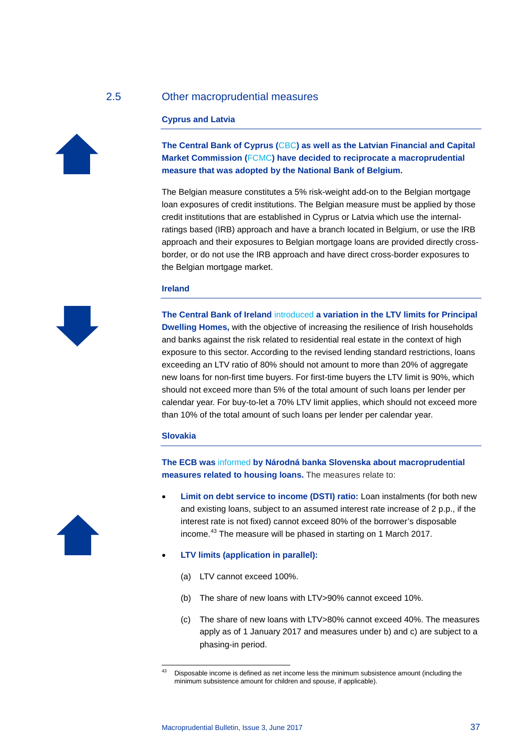# 2.5 Other macroprudential measures

### **Cyprus and Latvia**



**The Central Bank of Cyprus (**[CBC](http://www.centralbank.gov.cy/nqcontent.cfm?a_id=16045&lang=en)**) as well as the Latvian Financial and Capital Market Commission (**[FCMC](http://www.fktk.lv/en/publications/press-releases/5983-fcmc-adopts-decisions-on-reciprocation-of-estonian-and-belgian-macro-prudential-measures.html?highlight=WyJyZWNpcHJvY2F0aW9uIiwib2YiLCJyZWNpcHJvY2F0aW9uIG9mIl0=)**) have decided to reciprocate a macroprudential measure that was adopted by the National Bank of Belgium.**

The Belgian measure constitutes a 5% risk-weight add-on to the Belgian mortgage loan exposures of credit institutions. The Belgian measure must be applied by those credit institutions that are established in Cyprus or Latvia which use the internalratings based (IRB) approach and have a branch located in Belgium, or use the IRB approach and their exposures to Belgian mortgage loans are provided directly crossborder, or do not use the IRB approach and have direct cross-border exposures to the Belgian mortgage market.

### **Ireland**



**The Central Bank of Ireland** [introduced](http://www.centralbank.ie/stability/MacroprudentialPol/Documents/SI%20568%20of%202016%20final.pdf) **a variation in the LTV limits for Principal Dwelling Homes,** with the objective of increasing the resilience of Irish households and banks against the risk related to residential real estate in the context of high exposure to this sector. According to the revised lending standard restrictions, loans exceeding an LTV ratio of 80% should not amount to more than 20% of aggregate new loans for non-first time buyers. For first-time buyers the LTV limit is 90%, which should not exceed more than 5% of the total amount of such loans per lender per calendar year. For buy-to-let a 70% LTV limit applies, which should not exceed more than 10% of the total amount of such loans per lender per calendar year.

## **Slovakia**

**The ECB was** [informed](https://www.esrb.europa.eu/pub/pdf/notifications/other/20161220_Narodna_Banka_Slovenska.en.pdf?62d0c2b78cd71df05635be780d811337) **by Národná banka Slovenska about macroprudential measures related to housing loans.** The measures relate to:

- **Limit on debt service to income (DSTI) ratio:** Loan instalments (for both new and existing loans, subject to an assumed interest rate increase of 2 p.p., if the interest rate is not fixed) cannot exceed 80% of the borrower's disposable income.<sup>[43](#page-36-0)</sup> The measure will be phased in starting on 1 March 2017.
- **LTV limits (application in parallel):**
	- (a) LTV cannot exceed 100%.
	- (b) The share of new loans with LTV>90% cannot exceed 10%.
	- (c) The share of new loans with LTV>80% cannot exceed 40%. The measures apply as of 1 January 2017 and measures under b) and c) are subject to a phasing-in period.



<span id="page-36-0"></span>Disposable income is defined as net income less the minimum subsistence amount (including the minimum subsistence amount for children and spouse, if applicable).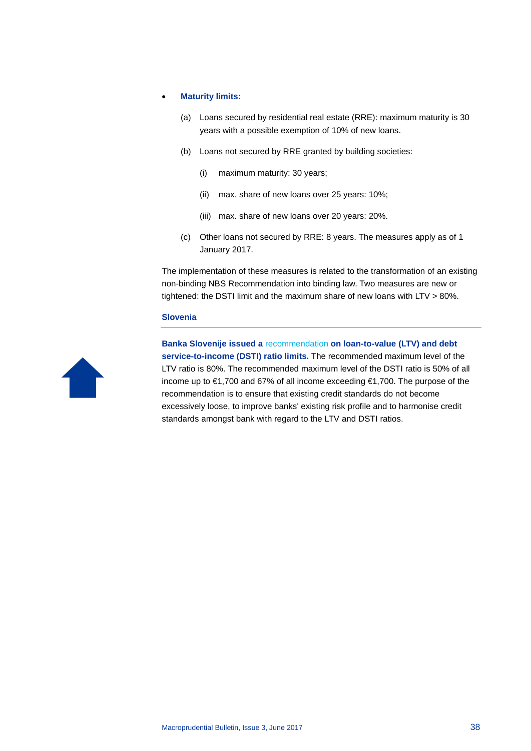### • **Maturity limits:**

- (a) Loans secured by residential real estate (RRE): maximum maturity is 30 years with a possible exemption of 10% of new loans.
- (b) Loans not secured by RRE granted by building societies:
	- (i) maximum maturity: 30 years;
	- (ii) max. share of new loans over 25 years: 10%;
	- (iii) max. share of new loans over 20 years: 20%.
- (c) Other loans not secured by RRE: 8 years. The measures apply as of 1 January 2017.

The implementation of these measures is related to the transformation of an existing non-binding NBS Recommendation into binding law. Two measures are new or tightened: the DSTI limit and the maximum share of new loans with LTV > 80%.

## **Slovenia**



**Banka Slovenije issued a** [recommendation](https://www.bsi.si/en/financial-stability.asp?MapaId=2034) **on loan-to-value (LTV) and debt service-to-income (DSTI) ratio limits.** The recommended maximum level of the LTV ratio is 80%. The recommended maximum level of the DSTI ratio is 50% of all income up to €1,700 and 67% of all income exceeding €1,700. The purpose of the recommendation is to ensure that existing credit standards do not become excessively loose, to improve banks' existing risk profile and to harmonise credit standards amongst bank with regard to the LTV and DSTI ratios.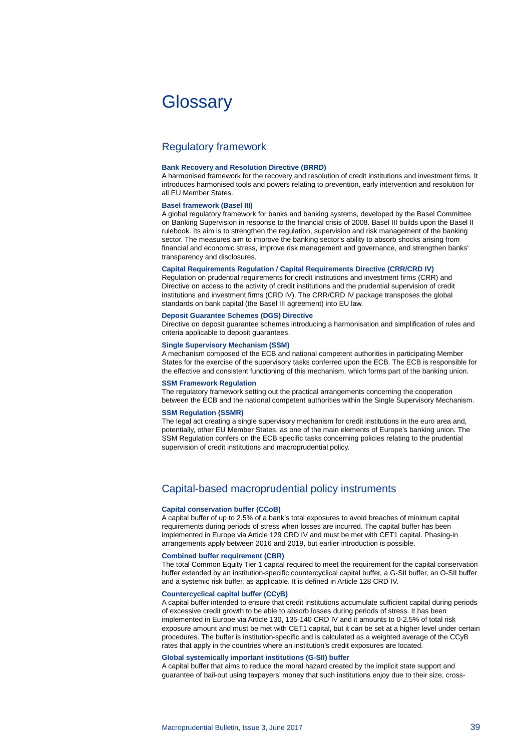# <span id="page-38-0"></span>**Glossary**

# Regulatory framework

### **Bank Recovery and Resolution Directive (BRRD)**

A harmonised framework for the recovery and resolution of credit institutions and investment firms. It introduces harmonised tools and powers relating to prevention, early intervention and resolution for all EU Member States.

### **Basel framework (Basel III)**

A global regulatory framework for banks and banking systems, developed by the Basel Committee on Banking Supervision in response to the financial crisis of 2008. Basel III builds upon the Basel II rulebook. Its aim is to strengthen the regulation, supervision and risk management of the banking sector. The measures aim to improve the banking sector's ability to absorb shocks arising from financial and economic stress, improve risk management and governance, and strengthen banks' transparency and disclosures.

### **Capital Requirements Regulation / Capital Requirements Directive (CRR/CRD IV)**

Regulation on prudential requirements for credit institutions and investment firms (CRR) and Directive on access to the activity of credit institutions and the prudential supervision of credit institutions and investment firms (CRD IV). The CRR/CRD IV package transposes the global standards on bank capital (the Basel III agreement) into EU law.

### **Deposit Guarantee Schemes (DGS) Directive**

Directive on deposit guarantee schemes introducing a harmonisation and simplification of rules and criteria applicable to deposit guarantees.

### **Single Supervisory Mechanism (SSM)**

A mechanism composed of the ECB and national competent authorities in participating Member States for the exercise of the supervisory tasks conferred upon the ECB. The ECB is responsible for the effective and consistent functioning of this mechanism, which forms part of the banking union.

### **SSM Framework Regulation**

The regulatory framework setting out the practical arrangements concerning the cooperation between the ECB and the national competent authorities within the Single Supervisory Mechanism.

### **SSM Regulation (SSMR)**

The legal act creating a single supervisory mechanism for credit institutions in the euro area and, potentially, other EU Member States, as one of the main elements of Europe's banking union. The SSM Regulation confers on the ECB specific tasks concerning policies relating to the prudential supervision of credit institutions and macroprudential policy.

# Capital-based macroprudential policy instruments

### **Capital conservation buffer (CCoB)**

A capital buffer of up to 2.5% of a bank's total exposures to avoid breaches of minimum capital requirements during periods of stress when losses are incurred. The capital buffer has been implemented in Europe via Article 129 CRD IV and must be met with CET1 capital. Phasing-in arrangements apply between 2016 and 2019, but earlier introduction is possible.

### **Combined buffer requirement (CBR)**

The total Common Equity Tier 1 capital required to meet the requirement for the capital conservation buffer extended by an institution-specific countercyclical capital buffer, a G-SII buffer, an O-SII buffer and a systemic risk buffer, as applicable. It is defined in Article 128 CRD IV.

### **Countercyclical capital buffer (CCyB)**

A capital buffer intended to ensure that credit institutions accumulate sufficient capital during periods of excessive credit growth to be able to absorb losses during periods of stress. It has been implemented in Europe via Article 130, 135-140 CRD IV and it amounts to 0-2.5% of total risk exposure amount and must be met with CET1 capital, but it can be set at a higher level under certain procedures. The buffer is institution-specific and is calculated as a weighted average of the CCyB rates that apply in the countries where an institution's credit exposures are located.

### **Global systemically important institutions (G-SII) buffer**

A capital buffer that aims to reduce the moral hazard created by the implicit state support and guarantee of bail-out using taxpayers' money that such institutions enjoy due to their size, cross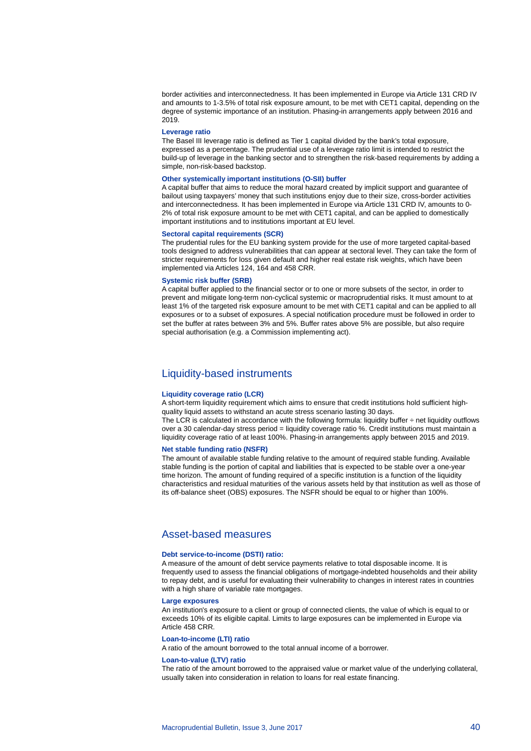border activities and interconnectedness. It has been implemented in Europe via Article 131 CRD IV and amounts to 1-3.5% of total risk exposure amount, to be met with CET1 capital, depending on the degree of systemic importance of an institution. Phasing-in arrangements apply between 2016 and 2019.

### **Leverage ratio**

The Basel III leverage ratio is defined as Tier 1 capital divided by the bank's total exposure, expressed as a percentage. The prudential use of a leverage ratio limit is intended to restrict the build-up of leverage in the banking sector and to strengthen the risk-based requirements by adding a simple, non-risk-based backstop.

### **Other systemically important institutions (O-SII) buffer**

A capital buffer that aims to reduce the moral hazard created by implicit support and guarantee of bailout using taxpayers' money that such institutions enjoy due to their size, cross-border activities and interconnectedness. It has been implemented in Europe via Article 131 CRD IV, amounts to 0- 2% of total risk exposure amount to be met with CET1 capital, and can be applied to domestically important institutions and to institutions important at EU level.

### **Sectoral capital requirements (SCR)**

The prudential rules for the EU banking system provide for the use of more targeted capital-based tools designed to address vulnerabilities that can appear at sectoral level. They can take the form of stricter requirements for loss given default and higher real estate risk weights, which have been implemented via Articles 124, 164 and 458 CRR.

### **Systemic risk buffer (SRB)**

A capital buffer applied to the financial sector or to one or more subsets of the sector, in order to prevent and mitigate long-term non-cyclical systemic or macroprudential risks. It must amount to at least 1% of the targeted risk exposure amount to be met with CET1 capital and can be applied to all exposures or to a subset of exposures. A special notification procedure must be followed in order to set the buffer at rates between 3% and 5%. Buffer rates above 5% are possible, but also require special authorisation (e.g. a Commission implementing act).

# Liquidity-based instruments

### **Liquidity coverage ratio (LCR)**

A short-term liquidity requirement which aims to ensure that credit institutions hold sufficient highquality liquid assets to withstand an acute stress scenario lasting 30 days.

The LCR is calculated in accordance with the following formula: liquidity buffer ÷ net liquidity outflows over a 30 calendar-day stress period = liquidity coverage ratio %. Credit institutions must maintain a liquidity coverage ratio of at least 100%. Phasing-in arrangements apply between 2015 and 2019.

# **Net stable funding ratio (NSFR)**

The amount of available stable funding relative to the amount of required stable funding. Available stable funding is the portion of capital and liabilities that is expected to be stable over a one-year time horizon. The amount of funding required of a specific institution is a function of the liquidity characteristics and residual maturities of the various assets held by that institution as well as those of its off-balance sheet (OBS) exposures. The NSFR should be equal to or higher than 100%.

# Asset-based measures

### **Debt service-to-income (DSTI) ratio:**

A measure of the amount of debt service payments relative to total disposable income. It is frequently used to assess the financial obligations of mortgage-indebted households and their ability to repay debt, and is useful for evaluating their vulnerability to changes in interest rates in countries with a high share of variable rate mortgages.

### **Large exposures**

An institution's exposure to a client or group of connected clients, the value of which is equal to or exceeds 10% of its eligible capital. Limits to large exposures can be implemented in Europe via Article 458 CRR.

### **Loan-to-income (LTI) ratio**

A ratio of the amount borrowed to the total annual income of a borrower.

### **Loan-to-value (LTV) ratio**

The ratio of the amount borrowed to the appraised value or market value of the underlying collateral, usually taken into consideration in relation to loans for real estate financing.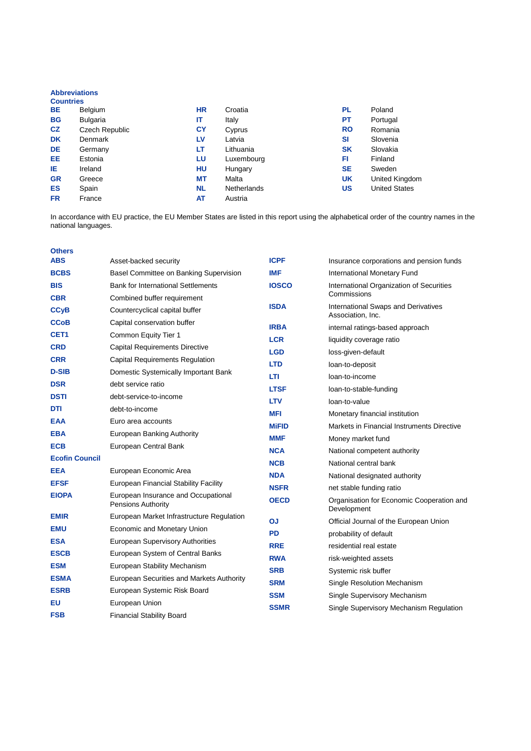## **Abbreviations**

| <b>Countries</b> |                 |           |             |           |                      |
|------------------|-----------------|-----------|-------------|-----------|----------------------|
| <b>BE</b>        | Belgium         | <b>HR</b> | Croatia     | PL        | Poland               |
| <b>BG</b>        | <b>Bulgaria</b> | IT        | Italy       | РT        | Portugal             |
| <b>CZ</b>        | Czech Republic  | CY        | Cyprus      | <b>RO</b> | Romania              |
| <b>DK</b>        | Denmark         | LV.       | Latvia      | <b>SI</b> | Slovenia             |
| <b>DE</b>        | Germany         | LT        | Lithuania   | <b>SK</b> | Slovakia             |
| EE.              | Estonia         | LU        | Luxembourg  | FI        | Finland              |
| ΙE               | Ireland         | HU        | Hungary     | <b>SE</b> | Sweden               |
| <b>GR</b>        | Greece          | МT        | Malta       | <b>UK</b> | United Kingdom       |
| <b>ES</b>        | Spain           | <b>NL</b> | Netherlands | <b>US</b> | <b>United States</b> |
| <b>FR</b>        | France          | AT        | Austria     |           |                      |

In accordance with EU practice, the EU Member States are listed in this report using the alphabetical order of the country names in the national languages.

| <b>Others</b>          |                                                                  |              |                                                          |
|------------------------|------------------------------------------------------------------|--------------|----------------------------------------------------------|
| <b>ABS</b>             | Asset-backed security                                            | <b>ICPF</b>  | Insurance corporations and pension funds                 |
| <b>BCBS</b>            | Basel Committee on Banking Supervision                           | <b>IMF</b>   | International Monetary Fund                              |
| <b>BIS</b>             | <b>Bank for International Settlements</b>                        | <b>IOSCO</b> | International Organization of Securities<br>Commissions  |
| <b>CBR</b>             | Combined buffer requirement                                      | <b>ISDA</b>  | International Swaps and Derivatives                      |
| <b>CC<sub>V</sub>B</b> | Countercyclical capital buffer                                   |              | Association, Inc.                                        |
| <b>CCoB</b>            | Capital conservation buffer                                      | <b>IRBA</b>  | internal ratings-based approach                          |
| CET <sub>1</sub>       | Common Equity Tier 1                                             | <b>LCR</b>   | liquidity coverage ratio                                 |
| <b>CRD</b>             | <b>Capital Requirements Directive</b>                            | <b>LGD</b>   | loss-given-default                                       |
| <b>CRR</b>             | Capital Requirements Regulation                                  | <b>LTD</b>   | loan-to-deposit                                          |
| <b>D-SIB</b>           | Domestic Systemically Important Bank                             | LTI          | loan-to-income                                           |
| <b>DSR</b>             | debt service ratio                                               | <b>LTSF</b>  | loan-to-stable-funding                                   |
| <b>DSTI</b>            | debt-service-to-income                                           | <b>LTV</b>   | loan-to-value                                            |
| DTI                    | debt-to-income                                                   | <b>MFI</b>   | Monetary financial institution                           |
| <b>EAA</b>             | Euro area accounts                                               | <b>MiFID</b> | Markets in Financial Instruments Directive               |
| <b>EBA</b>             | European Banking Authority                                       | <b>MMF</b>   | Money market fund                                        |
| <b>ECB</b>             | European Central Bank                                            | <b>NCA</b>   | National competent authority                             |
| <b>Ecofin Council</b>  |                                                                  | <b>NCB</b>   | National central bank                                    |
| <b>EEA</b>             | European Economic Area                                           | <b>NDA</b>   | National designated authority                            |
| <b>EFSF</b>            | European Financial Stability Facility                            | <b>NSFR</b>  | net stable funding ratio                                 |
| <b>EIOPA</b>           | European Insurance and Occupational<br><b>Pensions Authority</b> | <b>OECD</b>  | Organisation for Economic Cooperation and<br>Development |
| <b>EMIR</b>            | European Market Infrastructure Regulation                        | OJ           | Official Journal of the European Union                   |
| <b>EMU</b>             | Economic and Monetary Union                                      | <b>PD</b>    | probability of default                                   |
| <b>ESA</b>             | <b>European Supervisory Authorities</b>                          | <b>RRE</b>   | residential real estate                                  |
| <b>ESCB</b>            | European System of Central Banks                                 | <b>RWA</b>   | risk-weighted assets                                     |
| <b>ESM</b>             | European Stability Mechanism                                     | <b>SRB</b>   | Systemic risk buffer                                     |
| <b>ESMA</b>            | European Securities and Markets Authority                        | <b>SRM</b>   | Single Resolution Mechanism                              |
| <b>ESRB</b>            | European Systemic Risk Board                                     | <b>SSM</b>   | Single Supervisory Mechanism                             |
| EU                     | European Union                                                   | <b>SSMR</b>  | Single Supervisory Mechanism Regulation                  |
| <b>FSB</b>             | <b>Financial Stability Board</b>                                 |              |                                                          |